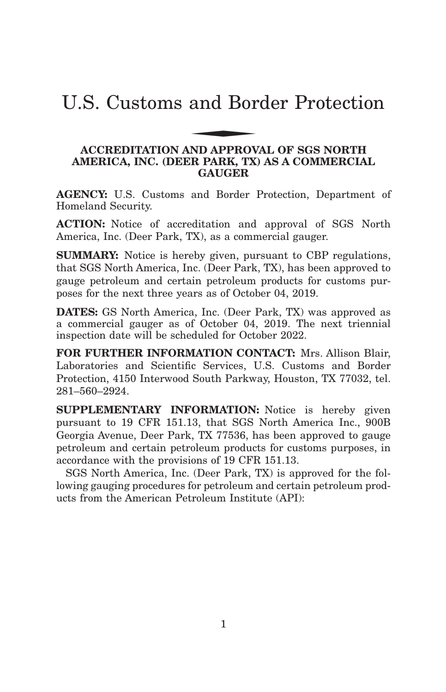# U.S. Customs and Border Protection and Bor

#### **ACCREDITATION AND APPROVAL OF SGS NORTH AMERICA, INC. (DEER PARK, TX) AS A COMMERCIAL GAUGER**

**AGENCY:** U.S. Customs and Border Protection, Department of Homeland Security.

**ACTION:** Notice of accreditation and approval of SGS North America, Inc. (Deer Park, TX), as a commercial gauger.

**SUMMARY:** Notice is hereby given, pursuant to CBP regulations, that SGS North America, Inc. (Deer Park, TX), has been approved to gauge petroleum and certain petroleum products for customs purposes for the next three years as of October 04, 2019.

**DATES:** GS North America, Inc. (Deer Park, TX) was approved as a commercial gauger as of October 04, 2019. The next triennial inspection date will be scheduled for October 2022.

**FOR FURTHER INFORMATION CONTACT:** Mrs. Allison Blair, Laboratories and Scientific Services, U.S. Customs and Border Protection, 4150 Interwood South Parkway, Houston, TX 77032, tel. 281–560–2924.

**SUPPLEMENTARY INFORMATION:** Notice is hereby given pursuant to 19 CFR 151.13, that SGS North America Inc., 900B Georgia Avenue, Deer Park, TX 77536, has been approved to gauge petroleum and certain petroleum products for customs purposes, in accordance with the provisions of 19 CFR 151.13.

SGS North America, Inc. (Deer Park, TX) is approved for the following gauging procedures for petroleum and certain petroleum products from the American Petroleum Institute (API):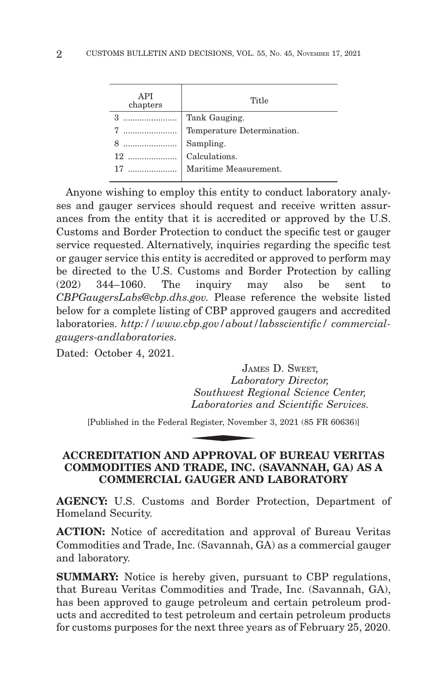| API<br>chapters    | Title                                                                                                          |
|--------------------|----------------------------------------------------------------------------------------------------------------|
| 3    Tank Gauging. |                                                                                                                |
|                    |                                                                                                                |
|                    | 7<br>The Sampling.<br>Temperature Determination.<br>8<br>2<br>2<br>2<br>2<br>2<br>2<br>2<br>2<br>Calculations. |
|                    |                                                                                                                |
|                    |                                                                                                                |
|                    |                                                                                                                |

Anyone wishing to employ this entity to conduct laboratory analyses and gauger services should request and receive written assurances from the entity that it is accredited or approved by the U.S. Customs and Border Protection to conduct the specific test or gauger service requested. Alternatively, inquiries regarding the specific test or gauger service this entity is accredited or approved to perform may be directed to the U.S. Customs and Border Protection by calling (202) 344–1060. The inquiry may also be sent to *CBPGaugersLabs@cbp.dhs.gov.* Please reference the website listed below for a complete listing of CBP approved gaugers and accredited laboratories. *http://www.cbp.gov/about/labsscientific/ commercialgaugers-andlaboratories.*

Dated: October 4, 2021.

JAMES D. SWEET, *Laboratory Director, Southwest Regional Science Center, Laboratories and Scientific Services.* JAM<br>Labor<br>Southwest Re<br>Laboratories<br>Register, Novemb<br>ADDDOVAL

[Published in the Federal Register, November 3, 2021 (85 FR 60636)]

#### **ACCREDITATION AND APPROVAL OF BUREAU VERITAS COMMODITIES AND TRADE, INC. (SAVANNAH, GA) AS A COMMERCIAL GAUGER AND LABORATORY**

**AGENCY:** U.S. Customs and Border Protection, Department of Homeland Security.

**ACTION:** Notice of accreditation and approval of Bureau Veritas Commodities and Trade, Inc. (Savannah, GA) as a commercial gauger and laboratory.

**SUMMARY:** Notice is hereby given, pursuant to CBP regulations, that Bureau Veritas Commodities and Trade, Inc. (Savannah, GA), has been approved to gauge petroleum and certain petroleum products and accredited to test petroleum and certain petroleum products for customs purposes for the next three years as of February 25, 2020.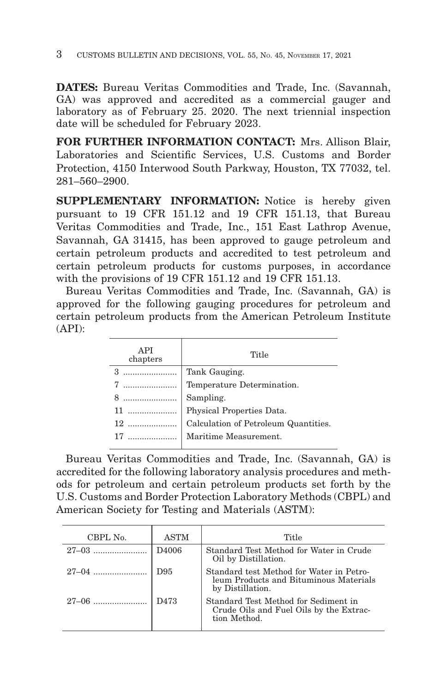**DATES:** Bureau Veritas Commodities and Trade, Inc. (Savannah, GA) was approved and accredited as a commercial gauger and laboratory as of February 25. 2020. The next triennial inspection date will be scheduled for February 2023.

**FOR FURTHER INFORMATION CONTACT:** Mrs. Allison Blair, Laboratories and Scientific Services, U.S. Customs and Border Protection, 4150 Interwood South Parkway, Houston, TX 77032, tel. 281–560–2900.

**SUPPLEMENTARY INFORMATION:** Notice is hereby given pursuant to 19 CFR 151.12 and 19 CFR 151.13, that Bureau Veritas Commodities and Trade, Inc., 151 East Lathrop Avenue, Savannah, GA 31415, has been approved to gauge petroleum and certain petroleum products and accredited to test petroleum and certain petroleum products for customs purposes, in accordance with the provisions of 19 CFR 151.12 and 19 CFR 151.13.

Bureau Veritas Commodities and Trade, Inc. (Savannah, GA) is approved for the following gauging procedures for petroleum and certain petroleum products from the American Petroleum Institute (API):

| API<br>chapters | Title                                |
|-----------------|--------------------------------------|
|                 | Tank Gauging.                        |
|                 | Temperature Determination.           |
| 8               | Sampling.                            |
|                 | Physical Properties Data.            |
|                 | Calculation of Petroleum Quantities. |
|                 | Maritime Measurement.                |

Bureau Veritas Commodities and Trade, Inc. (Savannah, GA) is accredited for the following laboratory analysis procedures and methods for petroleum and certain petroleum products set forth by the U.S. Customs and Border Protection Laboratory Methods (CBPL) and American Society for Testing and Materials (ASTM):

| CBPL No.  | <b>ASTM</b>       | Title                                                                                                  |
|-----------|-------------------|--------------------------------------------------------------------------------------------------------|
| $27-03$   | D <sub>4006</sub> | Standard Test Method for Water in Crude<br>Oil by Distillation.                                        |
|           | D <sub>95</sub>   | Standard test Method for Water in Petro-<br>leum Products and Bituminous Materials<br>by Distillation. |
| $27 - 06$ | D <sub>473</sub>  | Standard Test Method for Sediment in<br>Crude Oils and Fuel Oils by the Extrac-<br>tion Method.        |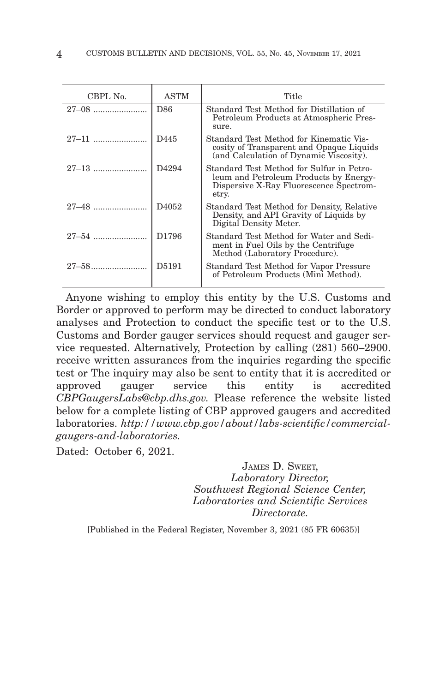| CBPL No. | <b>ASTM</b>       | Title                                                                                                                                   |
|----------|-------------------|-----------------------------------------------------------------------------------------------------------------------------------------|
|          | D86               | Standard Test Method for Distillation of<br>Petroleum Products at Atmospheric Pres-<br>sure.                                            |
|          | D445              | Standard Test Method for Kinematic Vis-<br>cosity of Transparent and Opaque Liquids<br>(and Calculation of Dynamic Viscosity).          |
|          | D <sub>4294</sub> | Standard Test Method for Sulfur in Petro-<br>leum and Petroleum Products by Energy-<br>Dispersive X-Ray Fluorescence Spectrom-<br>etry. |
|          | D <sub>4052</sub> | Standard Test Method for Density, Relative<br>Density, and API Gravity of Liquids by<br>Digital Density Meter.                          |
|          | D <sub>1796</sub> | Standard Test Method for Water and Sedi-<br>ment in Fuel Oils by the Centrifuge<br>Method (Laboratory Procedure).                       |
|          | D5191             | Standard Test Method for Vapor Pressure<br>of Petroleum Products (Mini Method).                                                         |

Anyone wishing to employ this entity by the U.S. Customs and Border or approved to perform may be directed to conduct laboratory analyses and Protection to conduct the specific test or to the U.S. Customs and Border gauger services should request and gauger service requested. Alternatively, Protection by calling (281) 560–2900. receive written assurances from the inquiries regarding the specific test or The inquiry may also be sent to entity that it is accredited or approved gauger service this entity is accredited *CBPGaugersLabs@cbp.dhs.gov.* Please reference the website listed below for a complete listing of CBP approved gaugers and accredited laboratories. *http://www.cbp.gov/about/labs-scientific/commercialgaugers-and-laboratories.*

Dated: October 6, 2021.

JAMES D. SWEET, *Laboratory Director, Southwest Regional Science Center, Laboratories and Scientific Services Directorate.*

[Published in the Federal Register, November 3, 2021 (85 FR 60635)]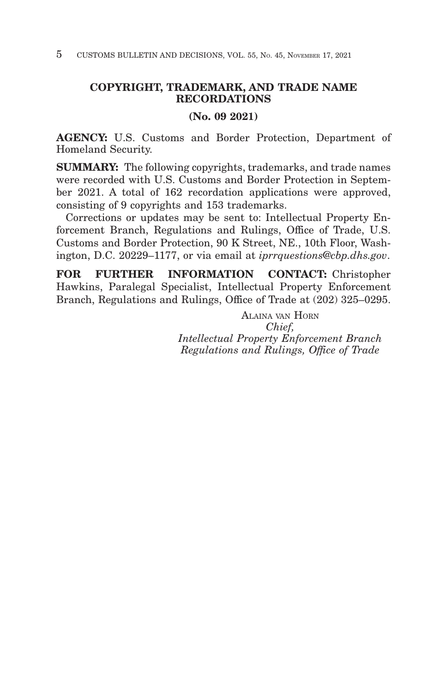#### **COPYRIGHT, TRADEMARK, AND TRADE NAME RECORDATIONS**

#### **(No. 09 2021)**

**AGENCY:** U.S. Customs and Border Protection, Department of Homeland Security.

**SUMMARY:** The following copyrights, trademarks, and trade names were recorded with U.S. Customs and Border Protection in September 2021. A total of 162 recordation applications were approved, consisting of 9 copyrights and 153 trademarks.

Corrections or updates may be sent to: Intellectual Property Enforcement Branch, Regulations and Rulings, Office of Trade, U.S. Customs and Border Protection, 90 K Street, NE., 10th Floor, Washington, D.C. 20229–1177, or via email at *iprrquestions@cbp.dhs.gov*.

**FOR FURTHER INFORMATION CONTACT:** Christopher Hawkins, Paralegal Specialist, Intellectual Property Enforcement Branch, Regulations and Rulings, Office of Trade at (202) 325–0295.

> ALAINA VAN HORN *Chief, Intellectual Property Enforcement Branch Regulations and Rulings, Office of Trade*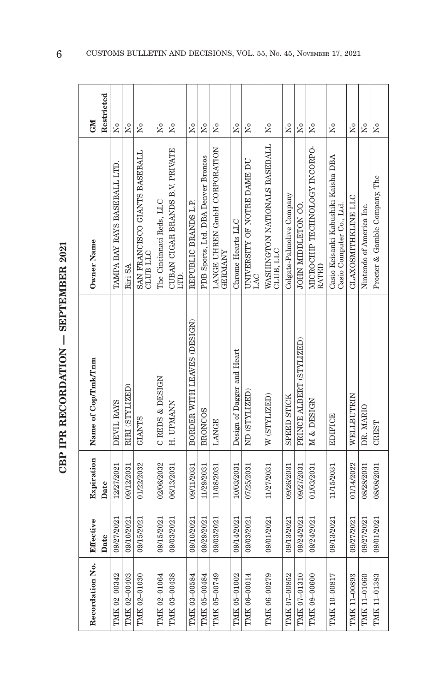| č                                  |  |
|------------------------------------|--|
| <br> <br> <br>i<br>ו<br>ון         |  |
|                                    |  |
| $\sim$<br>$\blacksquare$<br>ו<br>ו |  |
|                                    |  |
| י<br>ק                             |  |

| Recordation No. | Effective  | Expiration | Name of Cop/Tmk/Tnm         | Owner Name                                                      | <b>NEO</b>           |
|-----------------|------------|------------|-----------------------------|-----------------------------------------------------------------|----------------------|
|                 | Date       | Date       |                             |                                                                 | Restricted           |
| TMK 02-00342    | 09/27/2021 | 12/27/2021 | DEVIL RAYS                  | TAMPA BAY RAYS BASEBALL LTD.                                    | $\overline{M}$       |
| TMK 02-00403    | 09/10/2021 | 09/12/2031 | RIRI (STYLIZED)             | Riri SA                                                         | $\overline{M}$       |
| TMK 02-01030    | 09/15/2021 | 01/22/2032 | <b>GIANTS</b>               | SAN FRANCISCO GIANTS BASEBALL<br>CLUB LLC                       | Σó                   |
| TMK 02-01064    | 09/15/2021 | 02/06/2032 | CREDS & DESIGN              | The Cincinnati Reds, LLC                                        | $\tilde{\rm z}$      |
| TMK 03-00438    | 09/03/2021 | 06/13/2031 | H. UPMANN                   | CUBAN CIGAR BRANDS B.V. PRIVATE<br>LITD.                        | ż                    |
| TMK 03-00584    | 09/10/2021 | 09/11/2031 | BORDER WITH LEAVES (DESIGN) | REPUBLIC BRANDS L.P.                                            | Σó                   |
| TMK 05-00484    | 09/29/2021 | 11/29/2031 | <b>BRONCOS</b>              | PDB Sports, Ltd. DBA Denver Broncos                             | Σó                   |
| TMK 05-00749    | 09/03/2021 | 11/08/2031 | LANGE                       | LANGE UHREN GmbH CORPORATION<br><b>GERMANY</b>                  | $\tilde{z}$          |
| TMK 05-01002    | 09/14/2021 | 10/03/2031 | Design of Dagger and Heart  | Chrome Hearts LLC                                               | $\overline{M}$       |
| TMK 06-00014    | 09/03/2021 | 07/25/2031 | ND (STYLIZED)               | UNIVERSITY OF NOTRE DAME DU<br>LAC                              | $\tilde{z}$          |
| TMK 06-00279    | 09/01/2021 | 11/27/2031 | W (STYLIZED)                | WASHINGTON NATIONALS BASEBALL<br>CLUB, LLC                      | ż                    |
| TMK 07-00852    | 09/13/2021 | 09/26/2031 | <b>SPEED STICK</b>          | Colgate-Palmolive Company                                       | å                    |
| TMK 07-01310    | 09/24/2021 | 09/27/2031 | PRINCE ALBERT (STYLIZED)    | JOHN MIDDLETON CO.                                              | $\frac{1}{2}$        |
| TMK 08-00600    | 09/24/2021 | 01/03/2031 | M & DESIGN                  | MICROCHIP TECHNOLOGY INCORPO-<br>RATED                          | ż                    |
| TMK 10-00817    | 09/13/2021 | 11/15/2031 | <b>EDIFICE</b>              | Casio Keisanki Kabushiki Kaisha DBA<br>Casio Computer Co., Ltd. | $\tilde{\mathbf{z}}$ |
| TMK 11-00893    | 09/27/2021 | 01/14/2022 | WELLBUTRIN                  | GLAXOSMITHKLINE LLC                                             | Σó                   |
| TMK 11-01060    | 09/27/2021 | 08/28/2031 | DR. MARIO                   | Nintendo of America Inc.                                        | Χo                   |
| TMK 11-01383    | 09/01/2021 | 08/08/2031 | CREST                       | Procter & Gamble Company, The                                   | $\tilde{\mathbf{z}}$ |

 $6$  CUSTOMS BULLETIN AND DECISIONS, VOL. 55, No. 45, NOVEMBER 17, 2021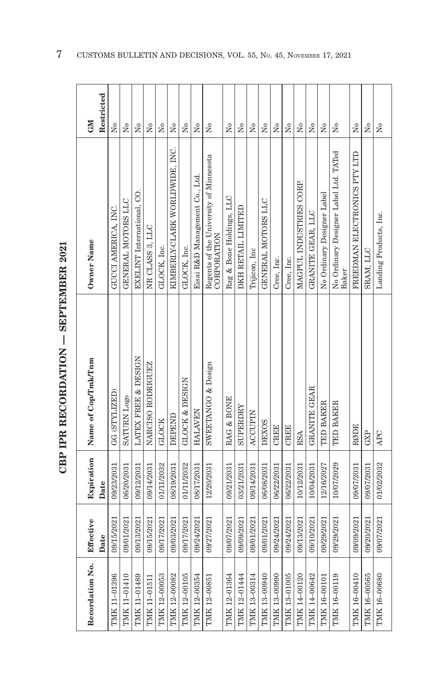| ç                  |
|--------------------|
| $\frac{1}{2}$      |
|                    |
|                    |
| :<br>:             |
|                    |
| .<br>התראה התראה ה |
|                    |
|                    |

| Recordation No. | Effective  | Expiration | Name of Cop/Tmk/Tnm       | Owner Name                                            | <b>CNI</b>                           |
|-----------------|------------|------------|---------------------------|-------------------------------------------------------|--------------------------------------|
|                 | Date       | Date       |                           |                                                       | Restricted                           |
| TMK 11-01396    | 09/15/2021 | 09/23/2031 | GG (STYLIZED)             | GUCCI AMERICA, INC.                                   | $\overline{\mathsf{X}}^{\mathsf{o}}$ |
| TMK 11-01410    | 09/01/2021 | 06/20/2031 | <b>SATURN Logo</b>        | GENERAL MOTORS LLC                                    | Σò                                   |
| TMK 11-01489    | 09/13/2021 | 09/12/2031 | LATEX FREE & DESIGN       | EXELINT International, CO.                            | $\tilde{Z}$                          |
| TMK 11-01511    | 09/15/2021 | 09/14/2031 | NARCISO RODRIGUEZ         | NR CLASS 3, LLC                                       | $\tilde{X}^{\circ}$                  |
| TMK 12-00053    | 09/17/2021 | 01/11/2032 | GLOCK                     | GLOCK, Inc.                                           | Σó                                   |
| TMK 12-00082    | 09/03/2021 | 08/19/2031 | DEPEND                    | KIMBERLY-CLARK WORLDWIDE, INC.                        | Σó                                   |
| TMK 12-00105    | 09/17/2021 | 01/11/2032 | <b>GLOCK &amp; DESIGN</b> | GLOCK, Inc.                                           | $\tilde{X}^{\circ}$                  |
| TMK 12-00354    | 09/24/2021 | 08/17/2031 | <b>HALAVEN</b>            | Eisai R&D Management Co., Ltd.                        | $\tilde{X}^{\circ}$                  |
| TMK 12-00851    | 09/27/2021 | 12/20/2031 | SWEETANGO & Design        | Regents of the University of Minnesota<br>CORPORATION | Σó                                   |
| TMK 12-01364    | 09/07/2021 | 09/21/2031 | RAG & BONE                | Rag & Bone Holdings, LLC                              | Σó                                   |
| TMK 12-01444    | 09/09/2021 | 03/21/2031 | SUPERDRY                  | DKH RETAIL LIMITED                                    | Σó                                   |
| TMK 13-00314    | 09/01/2021 | 09/14/2031 | <b>ACCUPIN</b>            | Trijicon, Inc                                         | $\tilde{X}^{\circ}$                  |
| TMK 13-00940    | 09/01/2021 | 06/08/2031 | <b>DEXOS</b>              | GENERAL MOTORS LLC                                    | $\tilde{Z}$                          |
| TMK 13-00990    | 09/24/2021 | 06/22/2031 | <b>CREEE</b>              | Cree, Inc.                                            | Σó                                   |
| TMK 13-01005    | 09/24/2021 | 06/22/2031 | <b>CREEE</b>              | Cree, Inc.                                            | Σó                                   |
| TMK 14-00120    | 09/13/2021 | 10/12/2031 | RSA                       | MAGPUL INDUSTRIES CORP.                               | Σó                                   |
| TMK 14-00642    | 09/10/2021 | 10/04/2031 | GRANITE GEAR              | GRANITE GEAR, LLC                                     | Σó                                   |
| TMK 16-00101    | 09/29/2021 | 12/16/2027 | TED BAKER                 | No Ordinary Designer Label                            | $\tilde{X}^{\circ}$                  |
| TMK 16-00119    | 09/29/2021 | 10/07/2029 | TED BAKER                 | No Ordinary Designer Label Ltd. TATed<br><b>Baker</b> | å                                    |
| TMK 16-00410    | 09/09/2021 | 09/07/2031 | RØDE                      | FREEDMAN ELECTRONICS PTY LTD                          | Σó                                   |
| TMK 16-00565    | 09/20/2021 | 09/07/2031 | GXP                       | SRAM, LLC                                             | Σó                                   |
| TMK 16-00680    | 09/07/2021 | 01/02/2032 | APC                       | Landing Products, Inc.                                | $\tilde{z}$                          |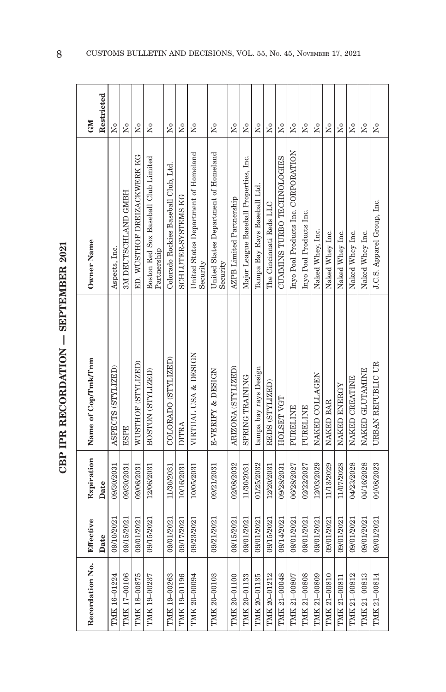| č                                                  |
|----------------------------------------------------|
| $\frac{1}{2}$<br>į                                 |
|                                                    |
| $\overline{1}$ in the model of $\overline{1}$<br>i |
|                                                    |
| ーミス                                                |

| Recordation No. | Effective  |            | Expiration Name of Cop/Tmk/Tnm | Owner Name                                          | <b>GM</b>                            |
|-----------------|------------|------------|--------------------------------|-----------------------------------------------------|--------------------------------------|
|                 | Date       | Date       |                                |                                                     | Restricted                           |
| TMK 16-01224    | 09/10/2021 | 09/30/2031 | ASPECTS (STYLIZED)             | Aspects, Inc.                                       | $\mathsf{X}^\circ$                   |
| TMK 17-00106    | 09/15/2021 | 09/30/2031 | <b>ESPE</b>                    | 3M DEUTSCHLAND GMBH                                 | Σó                                   |
| TMK 18-00875    | 09/01/2021 | 09/06/2031 | WUSTHOF (STYLIZED)             | ED. WÜSTHOF DREIZACKWERK KG                         | Σó                                   |
| TMK 19-00237    | 09/15/2021 | 12/06/2031 | BOSTON (STYLIZED)              | Boston Red Sox Baseball Club Limited<br>Partnership | Σó                                   |
| TMK 19-00263    | 09/01/2021 | 11/30/2031 | COLORADO (STYLIZED)            | Colorado Rockies Baseball Club, Ltd.                | $\tilde{z}$                          |
| TMK 19-01196    | 09/17/2021 | 10/16/2031 | DITRA                          | SCHLUTER-SYSTEMS KG                                 | ż                                    |
| TMK 20-00094    | 09/23/2021 | 10/05/2031 | VIRTUAL USA & DESIGN           | United States Department of Homeland<br>Security    | $\tilde{\mathsf{z}}$                 |
| TMK 20-00103    | 09/21/2021 | 09/21/2031 | E-VERIFY & DESIGN              | United States Department of Homeland<br>Security    | Σó                                   |
| TMK 20-01100    | 09/15/2021 | 02/08/2032 | ARIZONA (STYLIZED)             | <b>AZPB</b> Limited Partnership                     | Σó                                   |
| TMK 20-01133    | 09/01/2021 | 11/30/2031 | SPRING TRAINING                | Major League Baseball Properties, Inc.              | $\tilde{z}$                          |
| TMK 20-01135    | 09/01/2021 | 01/25/2032 | tampa bay rays Design          | Tampa Bay Rays Baseball Ltd.                        | $\mathsf{S}^{\mathsf{o}}$            |
| TMK 20-01212    | 09/15/2021 | 12/20/2031 | REDS (STYLIZED)                | The Cincinnati Reds LLC                             | $\tilde{Z}$                          |
| TMK 21-00048    | 09/14/2021 | 09/28/2031 | HOLSET VGT                     | CUMMINS TURBO TECHNOLOGIES                          | $\overline{N}$ o                     |
| TMK 21-00807    | 09/01/2021 | 06/28/2027 | PURELINE                       | Inyo Pool Products Inc. CORPORATION                 | Σó                                   |
| TMK 21-00808    | 09/01/2021 | 02/22/2027 | PURELINE                       | Inyo Pool Products Inc.                             | $\tilde{X}^{\circ}$                  |
| TMK 21-00809    | 09/01/2021 | 12/03/2029 | NAKED COLLAGEN                 | Naked Whey, Inc.                                    | $\tilde{X}^{\circ}$                  |
| TMK 21-00810    | 09/01/2021 | 11/13/2029 | NAKED BAR                      | Naked Whey Inc.                                     | $\tilde{X}^{\circ}$                  |
| TMK 21-00811    | 09/01/2021 | 11/07/2028 | NAKED ENERGY                   | Naked Whey Inc.                                     | $\tilde{X}^{\circ}$                  |
| TMK 21-00812    | 09/01/2021 | 04/23/2028 | NAKED CREATINE                 | Naked Whey Inc.                                     | $\tilde{X}^{\circ}$                  |
| TMK 21-00813    | 09/01/2021 | 04/16/2028 | NAKED GLUTAMINE                | Naked Whey Inc.                                     | $\overline{\mathsf{X}}^{\mathsf{o}}$ |
| TMK 21-00814    | 09/01/2021 | 04/08/2023 | URBAN REPUBLIC UR              | J.C.S. Apparel Group, Inc.                          | $\overline{\mathsf{X}}^{\mathsf{o}}$ |
|                 |            |            |                                |                                                     |                                      |

8 CUSTOMS BULLETIN AND DECISIONS, VOL. 55, No. 45, NOVEMBER 17, 2021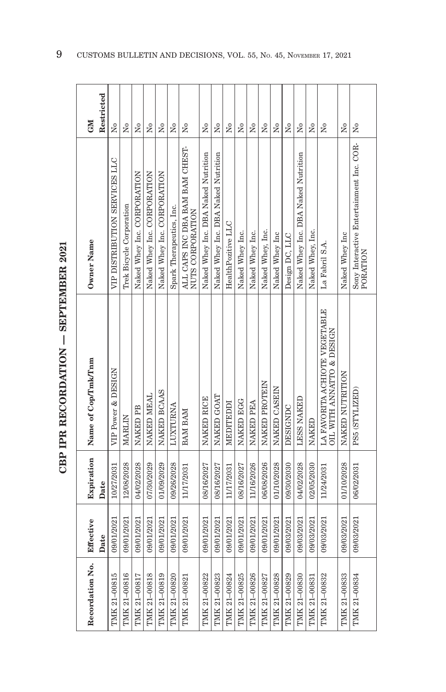| $\sim$             |
|--------------------|
| $\frac{1}{2}$<br>í |
|                    |
| n mm/km/hm/km/km   |
|                    |
| :                  |
| ١                  |

| Recordation No. | Effective  |            | Expiration Name of Cop/Tmk/Tnm                             | Owner Name                                           | GM                     |
|-----------------|------------|------------|------------------------------------------------------------|------------------------------------------------------|------------------------|
|                 | Date       | Date       |                                                            |                                                      | Restricted             |
| TMK 21-00815    | 09/01/2021 | 10/27/2031 | VIP Power & DESIGN                                         | VIP DISTRIBUTION SERVICES LLC                        | Σó                     |
| TMK 21-00816    | 09/01/2021 | 12/08/2028 | MARLIN                                                     | Trek Bicycle Corporation                             | Σó                     |
| TMK 21-00817    | 09/01/2021 | 04/02/2028 | NAKED PB                                                   | Naked Whey Inc. CORPORATION                          | Σó                     |
| TMK 21-00818    | 09/01/2021 | 07/30/2029 | NAKED MEAL                                                 | Naked Whey Inc. CORPORATION                          | Σó                     |
| TMK 21-00819    | 09/01/2021 | 01/09/2029 | NAKED BCAAS                                                | Naked Whey Inc. CORPORATION                          | ž                      |
| TMK 21-00820    | 09/01/2021 | 09/26/2028 | LUXTURNA                                                   | Spark Therapeutics, Inc.                             | Σó                     |
| TMK 21-00821    | 09/01/2021 | 11/17/2031 | BAM BAM                                                    | ALL CAPS INC DBA BAM BAM CHEST-<br>NUTS CORPORATION  | ż                      |
| TMK 21-00822    | 09/01/2021 | 08/16/2027 | NAKED RICE                                                 | Naked Whey Inc. DBA Naked Nutrition                  | Σó                     |
| TMK 21-00823    | 09/01/2021 | 08/16/2027 | NAKED GOAT                                                 | Naked Whey Inc. DBA Naked Nutrition                  | Σó                     |
| TMK 21-00824    | 09/01/2021 | 11/17/2031 | MEDITEDDI                                                  | HealthPozitive LLC                                   | Σó                     |
| TMK 21-00825    | 09/01/2021 | 08/16/2027 | <b>NAKED EGG</b>                                           | Naked Whey Inc.                                      | $\overline{N}$         |
| TMK 21-00826    | 09/01/2021 | 11/16/2026 | <b>NAKED PEA</b>                                           | Naked Whey Inc.                                      | $\tilde{\mathbf{X}}$   |
| TMK 21-00827    | 09/01/2021 | 06/08/2026 | NAKED PROTEIN                                              | Naked Whey, Inc.                                     | $\tilde{X}^{\circ}$    |
| TMK 21-00828    | 09/01/2021 | 01/10/2028 | NAKED CASEIN                                               | Naked Whey Inc                                       | $\overline{X}^{\circ}$ |
| TMK 21-00829    | 09/03/2021 | 09/30/2030 | DESIGNDC                                                   | Design DC, LLC                                       | $\tilde{\rm X}^0$      |
| TMK 21-00830    | 09/03/2021 | 04/02/2028 | <b>LESS NAKED</b>                                          | Naked Whey Inc. DBA Naked Nutrition                  | $\overline{R}$         |
| TMK 21-00831    | 09/03/2021 | 02/05/2030 | <b>NAKED</b>                                               | Naked Whey, Inc.                                     | $\overline{R}$         |
| TMK 21-00832    | 09/03/2021 | 11/24/2031 | LA FAVORITA ACHIOTE VEGETABLE<br>OIL WITH ANNATTO & DESIGN | La Fabril S.A.                                       | $\overline{R}$         |
| TMK 21-00833    | 09/03/2021 | 01/10/2028 | NAKED NUTRITION                                            | Naked Whey Inc                                       | Σó                     |
| TMK 21-00834    | 09/03/2021 | 06/02/2031 | PS5 (STYLIZED)                                             | Sony Interactive Entertainment Inc. COR-<br>PORATION | $\tilde{z}$            |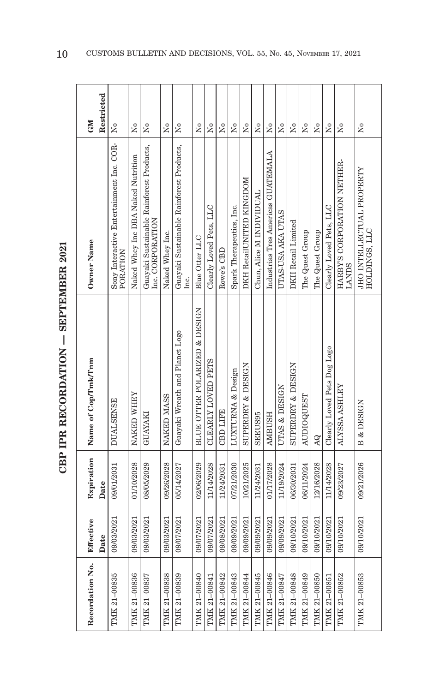| $\sim$                                      |
|---------------------------------------------|
| $\frac{1}{2}$<br>i<br>I<br>I<br>I<br>I<br>I |
|                                             |
|                                             |
| <b>INTERNATION</b>                          |
| :                                           |
|                                             |

| <b>GM</b>                                                      | Restricted<br>$\overline{N}$                 | $\overline{R}$<br>Χo<br>$\rm \stackrel{\circ}{\rm \scriptstyle X}$<br>$\tilde{z}$<br>Σò<br>Σó<br>Σó<br>Σó                  | ż<br>Σó<br>Σó                                        | $\overline{R}$<br>Χo                           | $\overline{N}$<br>$\overline{N}$   | Χo                          | $\tilde{X}^{\circ}$                                                                                                                                                                          |
|----------------------------------------------------------------|----------------------------------------------|----------------------------------------------------------------------------------------------------------------------------|------------------------------------------------------|------------------------------------------------|------------------------------------|-----------------------------|----------------------------------------------------------------------------------------------------------------------------------------------------------------------------------------------|
|                                                                |                                              | Guayaki Sustainable Rainforest Products,<br>Guayaki Sustainable Rainforest Products,<br>Naked Whey Inc DBA Naked Nutrition | Industrias Tres Americas GUATEMALA                   |                                                |                                    |                             | HARBYS CORPORATION NETHER-                                                                                                                                                                   |
|                                                                |                                              | Clearly Loved Pets, LLC<br>Spark Therapeutics, Inc.<br>Inc. CORPORATION                                                    | DKH RetailUNITED KINGDOM<br>Chun, Alice M INDIVIDUAL | UTAS-USA AKA UTAS<br><b>DKH</b> Retail Limited |                                    | Clearly Loved Pets, LLC     |                                                                                                                                                                                              |
| Sony Interactive Entertainment Inc. COR-<br>PORATION           |                                              | Naked Whey Inc.<br>Blue Otter LLC<br>Rowe's CBD<br>Ιnς.                                                                    |                                                      |                                                | The Quest Group<br>The Quest Group |                             | <b>LANDS</b>                                                                                                                                                                                 |
|                                                                |                                              |                                                                                                                            |                                                      |                                                |                                    |                             |                                                                                                                                                                                              |
|                                                                |                                              |                                                                                                                            |                                                      |                                                |                                    |                             |                                                                                                                                                                                              |
|                                                                |                                              | BLUE OTTER POLARIZED & DESIGN<br>Guayaki Wreath and Planet Logo                                                            |                                                      |                                                |                                    | Clearly Loved Pets Dog Logo |                                                                                                                                                                                              |
| NAKED WHEY<br>NAKED MASS<br><b>DUALSENSE</b><br><b>GUAYAKI</b> |                                              | CLEARLY LOVED PETS<br>LUXTURNA & Design<br><b>CBD LIFE</b>                                                                 | SUPERDRY & DESIGN<br><b>AMBUSH</b><br><b>SEEUS95</b> | <b>SUPERDRY &amp; DESIGN</b><br>UTAS & DESIGN  | READDIOOURS<br>ÁQ                  |                             | ALYSSA ASHLEY                                                                                                                                                                                |
| 01/10/2028<br>09/26/2028<br>08/05/2029<br>09/01/2031<br>Date   | 05/14/2027                                   | 02/06/2029<br>07/21/2030<br>11/14/2028<br>11/24/2031                                                                       | 01/17/2028<br>10/21/2025<br>11/24/2031               | 11/19/2024<br>06/30/2031                       | 12/16/2028<br>06/11/2024           | 11/14/2028                  | 09/23/2027                                                                                                                                                                                   |
| 09/03/2021<br>09/03/2021<br>09/03/2021                         | 09/07/2021                                   | 09/07/2021<br>09/07/2021<br>09/09/2021<br>09/08/2021                                                                       | 09/09/2021<br>09/09/2021<br>09/09/2021               | 09/09/2021<br>09/10/2021                       | 09/10/2021<br>09/10/2021           | 09/10/2021                  | 09/10/2021                                                                                                                                                                                   |
| 09/03/2021<br>Date                                             |                                              |                                                                                                                            |                                                      |                                                |                                    |                             |                                                                                                                                                                                              |
| TMK 21-00836<br>TMK 21-00835<br>TMK 21-00837                   | TMK 21-00838<br>TMK 21-00839<br>TMK 21-00840 |                                                                                                                            |                                                      |                                                |                                    |                             | TMK 21-00845<br>TMK 21-00846<br>TMK 21-00848<br>TMK 21-00849<br>TMK 21-00842<br>TMK 21-00843<br>TMK 21-00847<br>TMK 21-00850<br>TMK 21-00852<br>TMK 21-00844<br>TMK 21-00841<br>TMK 21-00851 |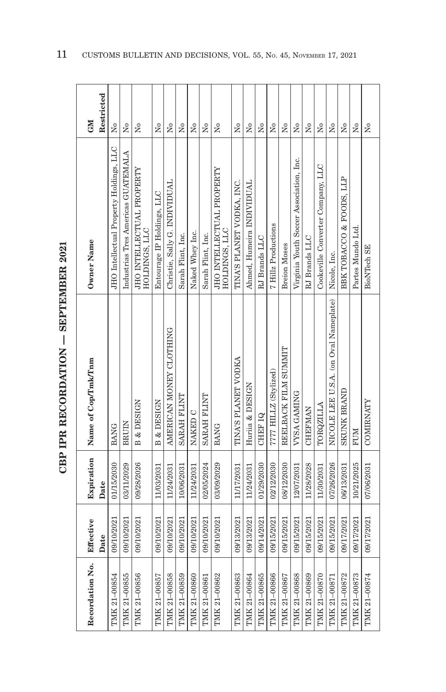| ç                    |
|----------------------|
| $\frac{1}{2}$        |
| <br> <br> <br> <br>ļ |
|                      |
|                      |
| ししくてしし               |
| ֓                    |
|                      |

| Recordation No. | Effective  | Expiration | Name of Cop/Tmk/Tnm                   | Owner Name                                 | GM                   |
|-----------------|------------|------------|---------------------------------------|--------------------------------------------|----------------------|
|                 | Date       | Date       |                                       |                                            | Restricted           |
| TMK 21-00854    | 09/10/2021 | 01/15/2030 | <b>BANG</b>                           | JHO Intellectual Property Holdings, LLC    | $\tilde{\mathsf{z}}$ |
| TMK 21-00855    | 09/10/2021 | 03/11/2029 | <b>BRUIN</b>                          | Industrias Tres Americas GUATEMALA         | $\tilde{\mathsf{z}}$ |
| TMK 21-00856    | 09/10/2021 | 09/28/2026 | <b>B &amp; DESIGN</b>                 | JHO INTELLECTUAL PROPERTY<br>HOLDINGS, LLC | ż                    |
| TMK 21-00857    | 09/10/2021 | 11/03/2031 | <b>B &amp; DESIGN</b>                 | Entourage IP Holdings, LLC                 | Σó                   |
| TMK 21-00858    | 09/10/2021 | 11/24/2031 | AMERICAN MONEY CLOTHING               | Christie, Sally G. INDIVIDUAL              | Σó                   |
| TMK 21-00859    | 09/10/2021 | 10/06/2031 | SARAH FLINT                           | Sarah Flint, Inc.                          | $\overline{M}$       |
| TMK 21-00860    | 09/10/2021 | 11/24/2031 | NAKED C                               | Naked Whey Inc.                            | $\tilde{X}^{\circ}$  |
| TMK 21-00861    | 09/10/2021 | 02/05/2024 | SARAH FLINT                           | Sarah Flint, Inc.                          | $\tilde{\mathbf{X}}$ |
| TMK 21-00862    | 09/10/2021 | 03/09/2029 | <b>BANG</b>                           | JHO INTELLECTUAL PROPERTY<br>HOLDINGS, LLC | $\tilde{\mathbf{z}}$ |
| TMK 21-00863    | 09/13/2021 | 11/17/2031 | TINA'S PLANET VODKA                   | TINA'S PLANET VODKA, INC.                  | ż                    |
| TMK 21-00864    | 09/13/2021 | 11/24/2031 | Huriia & DESIGN                       | Ahmed, Humeira INDIVIDUAL                  | ż                    |
| TMK 21-00865    | 09/14/2021 | 01/29/2030 | <b>CHEFIQ</b>                         | RJ Brands LLC                              | ż                    |
| TMK 21-00866    | 09/15/2021 | 02/12/2030 | 7777 HILLZ (Stylized)                 | 7 Hillz Productions                        | $\tilde{\rm x}$      |
| TMK 21-00867    | 09/15/2021 | 08/12/2030 | REELBACK FILM SUMMIT                  | <b>Breion Moses</b>                        | $\tilde{X}^{\circ}$  |
| TMK 21-00868    | 09/15/2021 | 12/07/2031 | VYSA GAMING                           | Virginia Youth Soccer Association, Inc.    | Σo                   |
| TMK 21-00869    | 09/15/2021 | 11/28/2028 | <b>CHEFMAN</b>                        | RJ Brands LLC                              | $\overline{N}$       |
| TMK 21-00870    | 09/15/2021 | 11/30/2031 | TORQZILLA                             | Cookeville Converter Company, LLC          | $_{\rm N_0}$         |
| TMK 21-00871    | 09/15/2021 | 07/26/2026 | NICOLE LEE U.S.A. (on Oval Nameplate) | Nicole, Inc.                               | Χo                   |
| TMK 21-00872    | 09/17/2021 | 06/13/2031 | SKUNK BRAND                           | BBK TOBACCO & FOODS, LLP                   | $\overline{N}$       |
| TMK 21-00873    | 09/17/2021 | 10/21/2025 | <b>FUM</b>                            | Partes Mundo Ltd.                          | $_{\rm N_0}$         |
| TMK 21-00874    | 09/17/2021 | 07/06/2031 | COMIRNATY                             | <b>BioNTech SE</b>                         | $\tilde{X}^{\circ}$  |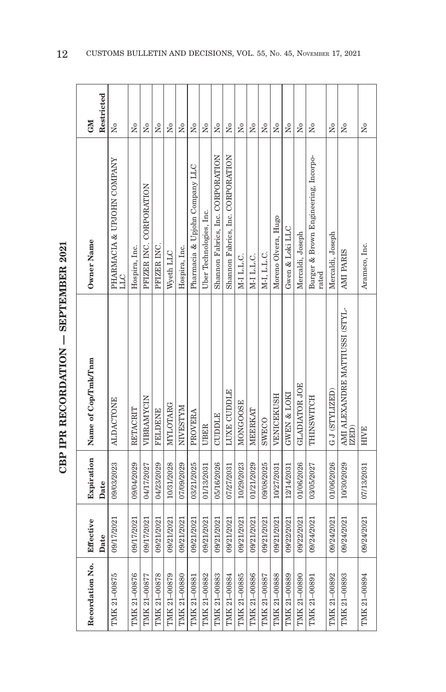| ć           |
|-------------|
|             |
|             |
| i<br>City   |
| í<br>ーー・ペスト |
| j<br>ĺ      |
| i<br>ī      |

| <b>GM</b>           | Restricted | $\tilde{\mathbf{X}}$                     | $\overline{R}$ | Σó                      | Σó             | $\overline{X}^{\circ}$ | Χo              | Σó                             | Χo                      | $\overline{N}$                    | $\overline{N}$                   | $\overline{N}$ | Σó           | $_{\rm N_0}$ | $\overline{N}^{\circ}$ | $\overline{N}^{\circ}$ | $\overline{N}$       | $\tilde{X}^{\circ}$                           | Σo               | $\overline{N}$                          | $_{\rm N_0}$  |
|---------------------|------------|------------------------------------------|----------------|-------------------------|----------------|------------------------|-----------------|--------------------------------|-------------------------|-----------------------------------|----------------------------------|----------------|--------------|--------------|------------------------|------------------------|----------------------|-----------------------------------------------|------------------|-----------------------------------------|---------------|
| Owner Name          |            | PHARMACIA & UPJOHN COMPANY<br><b>TTT</b> | Hospira, Inc.  | PFIZER INC. CORPORATION | PFIZER INC.    | Wyeth LLC              | Hospira, Inc.   | Pharmacia & Upjohn Company LLC | Uber Technologies, Inc. | Shannon Fabrics, Inc. CORPORATION | Shamon Fabrics, Inc. CORPORATION | M-I L.L.C.     | M-I L.L.C.   | M-I, L.L.C.  | Moreno Olvera, Hugo    | Gwen & Loki LLC        | Mercaldi, Joseph     | Burger & Brown Engineering, Incorpo-<br>rated | Mercaldi, Joseph | AMI PARIS                               | Aramsco, Inc. |
| Name of Cop/Tmk/Tnm |            | <b>ALDACTONE</b>                         | RETACRIT       | VIBRAMYCIN              | <b>FELDENE</b> | MYLOTARG               | <b>NIVESTYM</b> | PROVERA                        | <b>UBER</b>             | <b>CUDDLE</b>                     | LUXE CUDDLE                      | MONGOOSE       | MEERKAT      | SWECO        | VENICEKUSH             | GWEN & LOKI            | <b>GLADIATOR JOE</b> | THINSWITCH                                    | GJ(STYLIZED)     | AMI ALEXANDRE MATTIUSSI (STYL-<br>IZED) | <b>HIVE</b>   |
| Expiration          | Date       | 09/03/2023                               | 09/04/2029     | 04/17/2027              | 04/23/2029     | 10/31/2028             | 07/09/2029      | 03/21/2025                     | 01/13/2031              | 05/16/2026                        | 07/27/2031                       | 10/29/2023     | 01/21/2029   | 09/08/2025   | 10/27/2031             | 12/14/2031             | 01/06/2026           | 03/05/2027                                    | 01/06/2026       | 10/30/2029                              | 07/13/2031    |
| Effective           | Date       | 09/17/2021                               | 09/17/2021     | 09/17/2021              | 09/21/2021     | 09/21/2021             | 09/21/2021      | 09/21/2021                     | 09/21/2021              | 09/21/2021                        | 09/21/2021                       | 09/21/2021     | 09/21/2021   | 09/21/2021   | 09/21/2021             | 09/22/2021             | 09/22/2021           | 09/24/2021                                    | 09/24/2021       | 09/24/2021                              | 09/24/2021    |
| Recordation No.     |            | TMK 21-00875                             | TMK 21-00876   | TMK 21-00877            | TMK 21-00878   | TMK 21-00879           | TMK 21-00880    | TMK 21-00881                   | TMK 21-00882            | TMK 21-00883                      | TMK 21-00884                     | TMK 21-00885   | TMK 21-00886 | TMK 21-00887 | TMK 21-00888           | TMK 21-00889           | TMK 21-00890         | TMK 21-00891                                  | TMK 21-00892     | TMK 21-00893                            | TMK 21-00894  |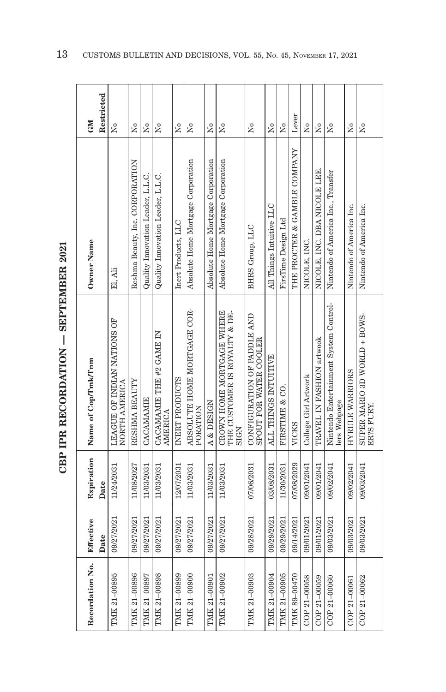| ן<br>י     |
|------------|
| ĺ<br> <br> |
|            |
|            |
| トーくてしょ     |
|            |
|            |
|            |

| Recordation No. | Effective<br>Date | Expiration<br>Date | Name of Cop/Tmk/Tnm                                                       | Owner Name                         | Restricted<br><b>GM</b>   |
|-----------------|-------------------|--------------------|---------------------------------------------------------------------------|------------------------------------|---------------------------|
| TMK 21-00895    | 09/27/2021        | 11/24/2031         | LEAGUE OF INDIAN NATIONS OF<br>NORTH AMERICA                              | El, Ali                            | Σò                        |
| TMK 21-00896    | 09/27/2021        | 11/08/2027         | RESHMA BEAUTY                                                             | Reshma Beauty, Inc. CORPORATION    | $\overline{M}$            |
| TMK 21-00897    | 09/27/2021        | 11/03/2031         | CACAMAMIE                                                                 | Quality Innovation Leader, L.L.C.  | Σó                        |
| TMK 21-00898    | 09/27/2021        | 11/03/2031         | CACAMAMIE THE #2 GAME IN<br><b>AMERICA</b>                                | Quality Innovation Leader, L.L.C.  | $\tilde{X}^{\circ}$       |
| TMK 21-00899    | 09/27/2021        | 12/07/2031         | INERT PRODUCTS                                                            | Inert Products, LLC                | Σó                        |
| TMK 21-00900    | 09/27/2021        | 11/03/2031         | ABSOLUTE HOME MORTGAGE COR-<br>PORATION                                   | Absolute Home Mortgage Corporation | Σó                        |
| TMK 21-00901    | 09/27/2021        | 11/03/2031         | A & DESIGN                                                                | Absolute Home Mortgage Corporation | Σò                        |
| TMK 21-00902    | 09/27/2021        | 11/03/2031         | CROWN HOME MORTGAGE WHERE<br>THE CUSTOMER IS ROYALTY & DE-<br><b>SIGN</b> | Absolute Home Mortgage Corporation | Σó                        |
| TMK 21-00903    | 09/28/2021        | 07/06/2031         | CONFIGURATION OF PADDLE AND<br>SPOUT FOR WATER COOLER                     | BHRS Group, LLC                    | ž                         |
| TMK 21-00904    | 09/29/2021        | 03/08/2031         | ALL THINGS INTUITIVE                                                      | All Things Intuitive LLC           | Σó                        |
| TMK 21-00905    | 09/29/2021        | 11/30/2031         | FIRSTIME & CO.                                                            | FirsTime Design Ltd                | $\overline{M}$            |
| TMK 89-00470    | 09/14/2021        | 07/08/2029         | <b>VICKS</b>                                                              | THE PROCTER & GAMBLE COMPANY       | Lever                     |
| COP 21-00058    | 09/01/2021        | 09/01/2041         | College Girl Artwork                                                      | NICOLE, INC.                       | Χo                        |
| COP 21-00059    | 09/01/2021        | 09/01/2041         | TRAVEL IN FASHION artwook                                                 | NICOLE, INC. DBA NICOLE LEE.       | $\overline{N}$            |
| COP 21-00060    | 09/03/2021        | 09/02/2041         | Nintendo Entertainment System Control-<br>lers Webpage                    | Nintendo of America Inc., Transfer | $\tilde{X}^{\circ}$       |
| COP 21-00061    | 09/03/2021        | 09/02/2041         | HYRULE WARRIORS                                                           | Nintendo of America Inc.           | Σó                        |
| COP 21-00062    | 09/03/2021        | 09/03/2041         | SUPER MARIO 3D WORLD + BOWS-<br>ER?S FURY.                                | Nintendo of America Inc.           | $\mathsf{S}^{\mathsf{o}}$ |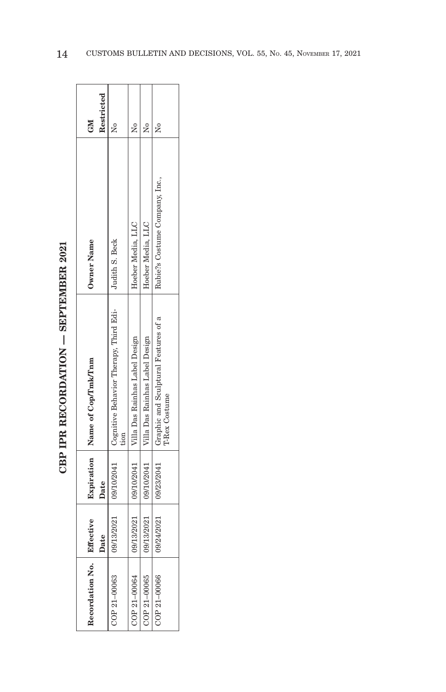| icco          |
|---------------|
| ו<br>ון       |
|               |
| i<br>Circulat |
| $\sim$        |
|               |
| $\frac{1}{2}$ |
| ーーく           |

| Recordation No.   Effective |            |      | Expiration   Name of Cop/Tmk/Tnm                                                  | Owner Name                     | <b>NP</b>  |
|-----------------------------|------------|------|-----------------------------------------------------------------------------------|--------------------------------|------------|
|                             | Date       | Date |                                                                                   |                                | Restricted |
| COP 21-00063                |            |      | 09/13/2021   09/10/2041   Cognitive Behavior Therapy, Third Edi-   Judith S. Beck |                                |            |
| $COP 21 - 00064$            |            |      | 09/13/2021   09/10/2041   Villa Das Rainhas Label Design                          | Hoeber Media, LLC              |            |
| COP 21-00065                |            |      | 09/13/2021   09/10/2041   Villa Das Rainhas Label Design                          | Hoeber Media, LLC              |            |
| COP 21-00066                | 09/24/2021 |      | 09/23/2041   Graphic and Sculptural Features of a<br><b>T-Rex Costume</b>         | Rubie?s Costume Company, Inc., |            |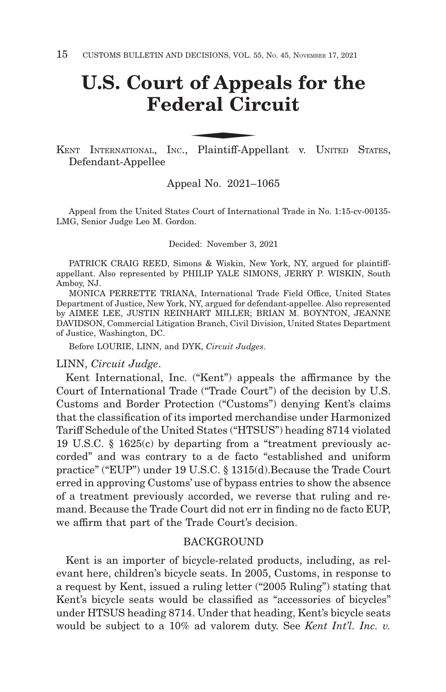## **U.S. Court of Appeals for the Federal Circuit** of Appenderal Circle of Appendent

KENT INTERNATIONAL, INC., Plaintiff-Appellant v. U NITED STATES, Defendant-Appellee

#### Appeal No. 2021–1065

Appeal from the United States Court of International Trade in No. 1:15-cv-00135- LMG, Senior Judge Leo M. Gordon.

Decided: November 3, 2021

PATRICK CRAIG REED, Simons & Wiskin, New York, NY, argued for plaintiffappellant. Also represented by PHILIP YALE SIMONS, JERRY P. WISKIN, South Amboy, NJ.

MONICA PERRETTE TRIANA, International Trade Field Office, United States Department of Justice, New York, NY, argued for defendant-appellee. Also represented by AIMEE LEE, JUSTIN REINHART MILLER; BRIAN M. BOYNTON, JEANNE DAVIDSON, Commercial Litigation Branch, Civil Division, United States Department of Justice, Washington, DC.

Before LOURIE, LINN, and DYK, *Circuit Judges*.

LINN, *Circuit Judge*.

Kent International, Inc. ("Kent") appeals the affirmance by the Court of International Trade ("Trade Court") of the decision by U.S. Customs and Border Protection ("Customs") denying Kent's claims that the classification of its imported merchandise under Harmonized Tariff Schedule of the United States ("HTSUS") heading 8714 violated 19 U.S.C. § 1625(c) by departing from a "treatment previously accorded" and was contrary to a de facto "established and uniform practice" ("EUP") under 19 U.S.C. § 1315(d).Because the Trade Court erred in approving Customs' use of bypass entries to show the absence of a treatment previously accorded, we reverse that ruling and remand. Because the Trade Court did not err in finding no de facto EUP, we affirm that part of the Trade Court's decision.

#### **BACKGROUND**

Kent is an importer of bicycle-related products, including, as relevant here, children's bicycle seats. In 2005, Customs, in response to a request by Kent, issued a ruling letter ("2005 Ruling") stating that Kent's bicycle seats would be classified as "accessories of bicycles" under HTSUS heading 8714. Under that heading, Kent's bicycle seats would be subject to a 10% ad valorem duty. See *Kent Int'l. Inc. v.*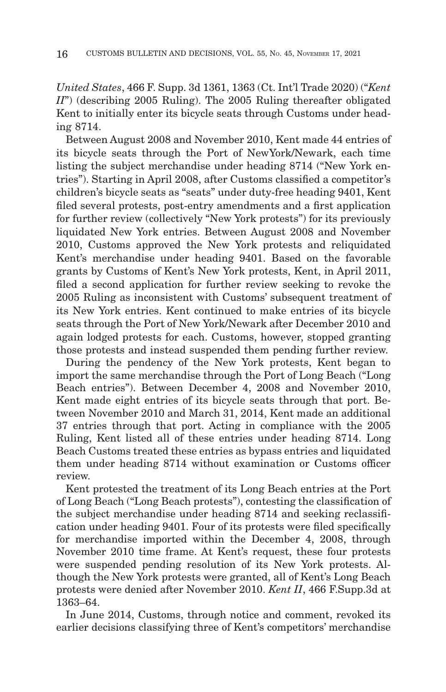*United States*, 466 F. Supp. 3d 1361, 1363 (Ct. Int'l Trade 2020) ("*Kent II*") (describing 2005 Ruling). The 2005 Ruling thereafter obligated Kent to initially enter its bicycle seats through Customs under heading 8714.

Between August 2008 and November 2010, Kent made 44 entries of its bicycle seats through the Port of NewYork/Newark, each time listing the subject merchandise under heading 8714 ("New York entries"). Starting in April 2008, after Customs classified a competitor's children's bicycle seats as "seats" under duty-free heading 9401, Kent filed several protests, post-entry amendments and a first application for further review (collectively "New York protests") for its previously liquidated New York entries. Between August 2008 and November 2010, Customs approved the New York protests and reliquidated Kent's merchandise under heading 9401. Based on the favorable grants by Customs of Kent's New York protests, Kent, in April 2011, filed a second application for further review seeking to revoke the 2005 Ruling as inconsistent with Customs' subsequent treatment of its New York entries. Kent continued to make entries of its bicycle seats through the Port of New York/Newark after December 2010 and again lodged protests for each. Customs, however, stopped granting those protests and instead suspended them pending further review.

During the pendency of the New York protests, Kent began to import the same merchandise through the Port of Long Beach ("Long Beach entries"). Between December 4, 2008 and November 2010, Kent made eight entries of its bicycle seats through that port. Between November 2010 and March 31, 2014, Kent made an additional 37 entries through that port. Acting in compliance with the 2005 Ruling, Kent listed all of these entries under heading 8714. Long Beach Customs treated these entries as bypass entries and liquidated them under heading 8714 without examination or Customs officer review.

Kent protested the treatment of its Long Beach entries at the Port of Long Beach ("Long Beach protests"), contesting the classification of the subject merchandise under heading 8714 and seeking reclassification under heading 9401. Four of its protests were filed specifically for merchandise imported within the December 4, 2008, through November 2010 time frame. At Kent's request, these four protests were suspended pending resolution of its New York protests. Although the New York protests were granted, all of Kent's Long Beach protests were denied after November 2010. *Kent II*, 466 F.Supp.3d at 1363–64.

In June 2014, Customs, through notice and comment, revoked its earlier decisions classifying three of Kent's competitors' merchandise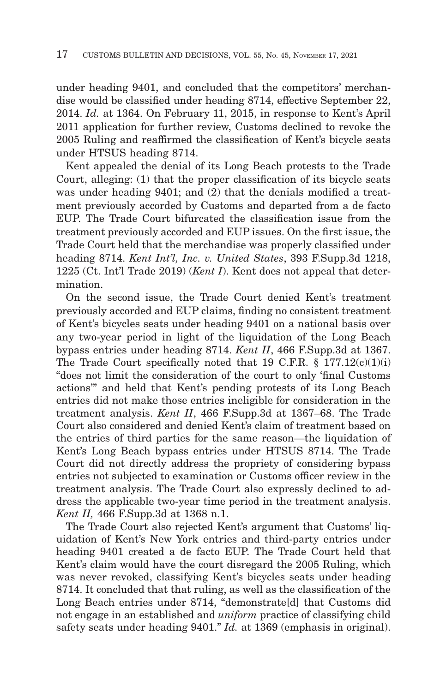under heading 9401, and concluded that the competitors' merchandise would be classified under heading 8714, effective September 22, 2014. *Id.* at 1364. On February 11, 2015, in response to Kent's April 2011 application for further review, Customs declined to revoke the 2005 Ruling and reaffirmed the classification of Kent's bicycle seats under HTSUS heading 8714.

Kent appealed the denial of its Long Beach protests to the Trade Court, alleging: (1) that the proper classification of its bicycle seats was under heading 9401; and (2) that the denials modified a treatment previously accorded by Customs and departed from a de facto EUP. The Trade Court bifurcated the classification issue from the treatment previously accorded and EUP issues. On the first issue, the Trade Court held that the merchandise was properly classified under heading 8714. *Kent Int'l, Inc. v. United States*, 393 F.Supp.3d 1218, 1225 (Ct. Int'l Trade 2019) (*Kent I*). Kent does not appeal that determination.

On the second issue, the Trade Court denied Kent's treatment previously accorded and EUP claims, finding no consistent treatment of Kent's bicycles seats under heading 9401 on a national basis over any two-year period in light of the liquidation of the Long Beach bypass entries under heading 8714. *Kent II*, 466 F.Supp.3d at 1367. The Trade Court specifically noted that 19 C.F.R.  $\S$  177.12(c)(1)(i) "does not limit the consideration of the court to only 'final Customs actions'" and held that Kent's pending protests of its Long Beach entries did not make those entries ineligible for consideration in the treatment analysis. *Kent II*, 466 F.Supp.3d at 1367–68. The Trade Court also considered and denied Kent's claim of treatment based on the entries of third parties for the same reason—the liquidation of Kent's Long Beach bypass entries under HTSUS 8714. The Trade Court did not directly address the propriety of considering bypass entries not subjected to examination or Customs officer review in the treatment analysis. The Trade Court also expressly declined to address the applicable two-year time period in the treatment analysis. *Kent II,* 466 F.Supp.3d at 1368 n.1.

The Trade Court also rejected Kent's argument that Customs' liquidation of Kent's New York entries and third-party entries under heading 9401 created a de facto EUP. The Trade Court held that Kent's claim would have the court disregard the 2005 Ruling, which was never revoked, classifying Kent's bicycles seats under heading 8714. It concluded that that ruling, as well as the classification of the Long Beach entries under 8714, "demonstrate[d] that Customs did not engage in an established and *uniform* practice of classifying child safety seats under heading 9401." *Id.* at 1369 (emphasis in original).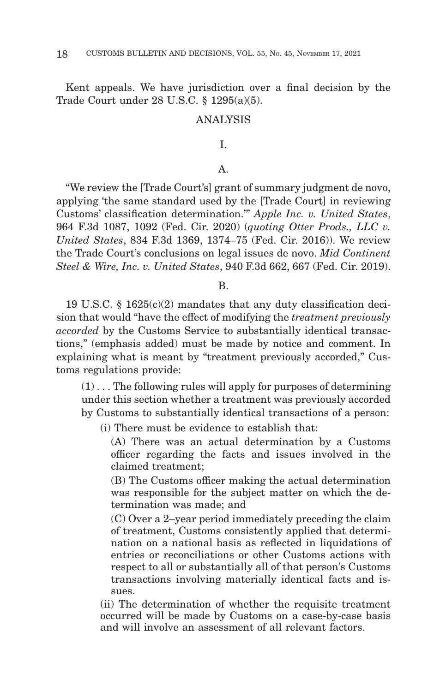Kent appeals. We have jurisdiction over a final decision by the Trade Court under 28 U.S.C. § 1295(a)(5).

#### ANALYSIS

#### I.

#### A.

"We review the [Trade Court's] grant of summary judgment de novo, applying 'the same standard used by the [Trade Court] in reviewing Customs' classification determination.'" *Apple Inc. v. United States*, 964 F.3d 1087, 1092 (Fed. Cir. 2020) (*quoting Otter Prods., LLC v. United States*, 834 F.3d 1369, 1374–75 (Fed. Cir. 2016)). We review the Trade Court's conclusions on legal issues de novo. *Mid Continent Steel & Wire, Inc. v. United States*, 940 F.3d 662, 667 (Fed. Cir. 2019).

B.

19 U.S.C. § 1625(c)(2) mandates that any duty classification decision that would "have the effect of modifying the *treatment previously accorded* by the Customs Service to substantially identical transactions," (emphasis added) must be made by notice and comment. In explaining what is meant by "treatment previously accorded," Customs regulations provide:

 $(1)$ ... The following rules will apply for purposes of determining under this section whether a treatment was previously accorded by Customs to substantially identical transactions of a person:

(i) There must be evidence to establish that:

(A) There was an actual determination by a Customs officer regarding the facts and issues involved in the claimed treatment;

(B) The Customs officer making the actual determination was responsible for the subject matter on which the determination was made; and

(C) Over a 2–year period immediately preceding the claim of treatment, Customs consistently applied that determination on a national basis as reflected in liquidations of entries or reconciliations or other Customs actions with respect to all or substantially all of that person's Customs transactions involving materially identical facts and issues.

(ii) The determination of whether the requisite treatment occurred will be made by Customs on a case-by-case basis and will involve an assessment of all relevant factors.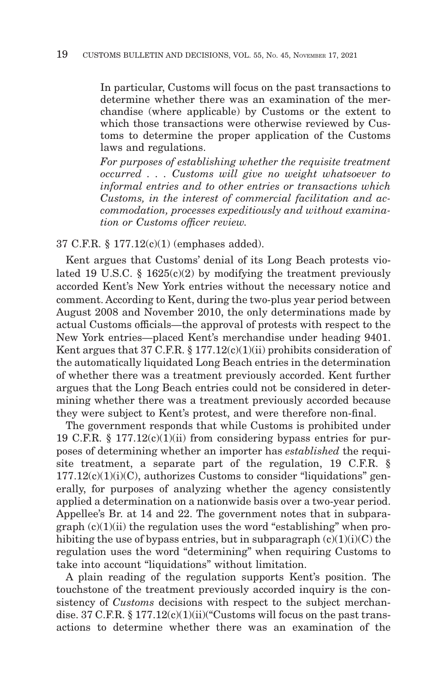In particular, Customs will focus on the past transactions to determine whether there was an examination of the merchandise (where applicable) by Customs or the extent to which those transactions were otherwise reviewed by Customs to determine the proper application of the Customs laws and regulations.

*For purposes of establishing whether the requisite treatment occurred . . . Customs will give no weight whatsoever to informal entries and to other entries or transactions which Customs, in the interest of commercial facilitation and accommodation, processes expeditiously and without examination or Customs officer review.*

37 C.F.R. § 177.12(c)(1) (emphases added).

Kent argues that Customs' denial of its Long Beach protests violated 19 U.S.C. § 1625(c)(2) by modifying the treatment previously accorded Kent's New York entries without the necessary notice and comment. According to Kent, during the two-plus year period between August 2008 and November 2010, the only determinations made by actual Customs officials—the approval of protests with respect to the New York entries—placed Kent's merchandise under heading 9401. Kent argues that 37 C.F.R.  $\S 177.12(c)(1)(ii)$  prohibits consideration of the automatically liquidated Long Beach entries in the determination of whether there was a treatment previously accorded. Kent further argues that the Long Beach entries could not be considered in determining whether there was a treatment previously accorded because they were subject to Kent's protest, and were therefore non-final.

The government responds that while Customs is prohibited under 19 C.F.R.  $\S 177.12(c)(1)(ii)$  from considering bypass entries for purposes of determining whether an importer has *established* the requisite treatment, a separate part of the regulation, 19 C.F.R. §  $177.12(c)(1)(i)(C)$ , authorizes Customs to consider "liquidations" generally, for purposes of analyzing whether the agency consistently applied a determination on a nationwide basis over a two-year period. Appellee's Br. at 14 and 22. The government notes that in subpara $graph (c)(1)(ii)$  the regulation uses the word "establishing" when prohibiting the use of bypass entries, but in subparagraph  $(c)(1)(i)(C)$  the regulation uses the word "determining" when requiring Customs to take into account "liquidations" without limitation.

A plain reading of the regulation supports Kent's position. The touchstone of the treatment previously accorded inquiry is the consistency of *Customs* decisions with respect to the subject merchandise. 37 C.F.R.  $\S 177.12(c)(1)(ii)'$  Customs will focus on the past transactions to determine whether there was an examination of the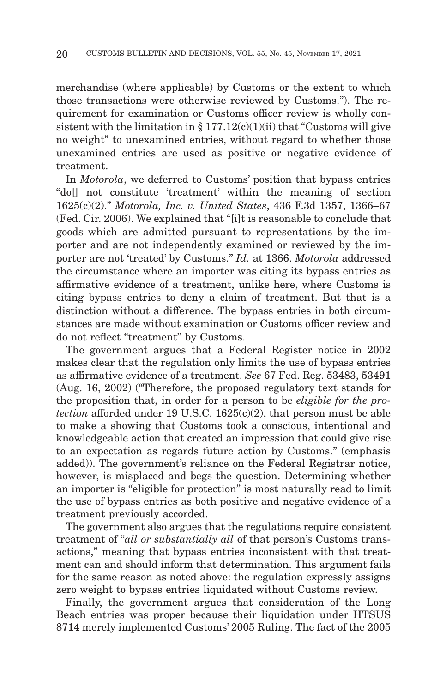merchandise (where applicable) by Customs or the extent to which those transactions were otherwise reviewed by Customs."). The requirement for examination or Customs officer review is wholly consistent with the limitation in  $\S 177.12(c)(1)(ii)$  that "Customs will give no weight" to unexamined entries, without regard to whether those unexamined entries are used as positive or negative evidence of treatment.

In *Motorola*, we deferred to Customs' position that bypass entries "do[] not constitute 'treatment' within the meaning of section 1625(c)(2)." *Motorola, Inc. v. United States*, 436 F.3d 1357, 1366–67 (Fed. Cir. 2006). We explained that "[i]t is reasonable to conclude that goods which are admitted pursuant to representations by the importer and are not independently examined or reviewed by the importer are not 'treated' by Customs." *Id.* at 1366. *Motorola* addressed the circumstance where an importer was citing its bypass entries as affirmative evidence of a treatment, unlike here, where Customs is citing bypass entries to deny a claim of treatment. But that is a distinction without a difference. The bypass entries in both circumstances are made without examination or Customs officer review and do not reflect "treatment" by Customs.

The government argues that a Federal Register notice in 2002 makes clear that the regulation only limits the use of bypass entries as affirmative evidence of a treatment. *See* 67 Fed. Reg. 53483, 53491 (Aug. 16, 2002) ("Therefore, the proposed regulatory text stands for the proposition that, in order for a person to be *eligible for the protection* afforded under 19 U.S.C. 1625(c)(2), that person must be able to make a showing that Customs took a conscious, intentional and knowledgeable action that created an impression that could give rise to an expectation as regards future action by Customs." (emphasis added)). The government's reliance on the Federal Registrar notice, however, is misplaced and begs the question. Determining whether an importer is "eligible for protection" is most naturally read to limit the use of bypass entries as both positive and negative evidence of a treatment previously accorded.

The government also argues that the regulations require consistent treatment of "*all or substantially all* of that person's Customs transactions," meaning that bypass entries inconsistent with that treatment can and should inform that determination. This argument fails for the same reason as noted above: the regulation expressly assigns zero weight to bypass entries liquidated without Customs review.

Finally, the government argues that consideration of the Long Beach entries was proper because their liquidation under HTSUS 8714 merely implemented Customs' 2005 Ruling. The fact of the 2005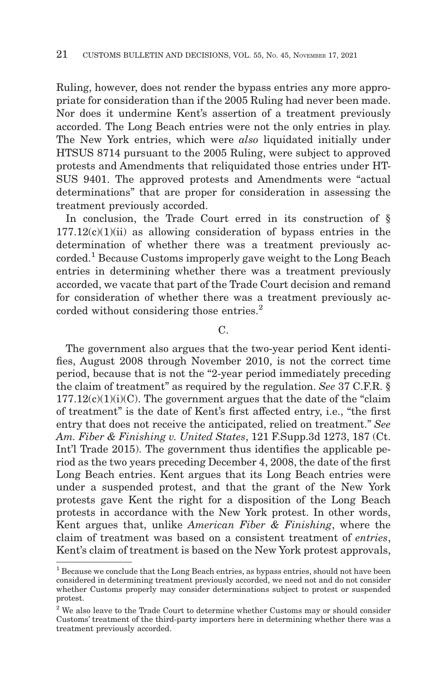Ruling, however, does not render the bypass entries any more appropriate for consideration than if the 2005 Ruling had never been made. Nor does it undermine Kent's assertion of a treatment previously accorded. The Long Beach entries were not the only entries in play. The New York entries, which were *also* liquidated initially under HTSUS 8714 pursuant to the 2005 Ruling, were subject to approved protests and Amendments that reliquidated those entries under HT-SUS 9401. The approved protests and Amendments were "actual determinations" that are proper for consideration in assessing the treatment previously accorded.

In conclusion, the Trade Court erred in its construction of §  $177.12(c)(1)(ii)$  as allowing consideration of bypass entries in the determination of whether there was a treatment previously accorded.1 Because Customs improperly gave weight to the Long Beach entries in determining whether there was a treatment previously accorded, we vacate that part of the Trade Court decision and remand for consideration of whether there was a treatment previously accorded without considering those entries.<sup>2</sup>

 $C<sub>1</sub>$ 

The government also argues that the two-year period Kent identifies, August 2008 through November 2010, is not the correct time period, because that is not the "2-year period immediately preceding the claim of treatment" as required by the regulation. *See* 37 C.F.R. §  $177.12(c)(1)(i)(C)$ . The government argues that the date of the "claim" of treatment" is the date of Kent's first affected entry, i.e., "the first entry that does not receive the anticipated, relied on treatment." *See Am. Fiber & Finishing v. United States*, 121 F.Supp.3d 1273, 187 (Ct. Int'l Trade 2015). The government thus identifies the applicable period as the two years preceding December 4, 2008, the date of the first Long Beach entries. Kent argues that its Long Beach entries were under a suspended protest, and that the grant of the New York protests gave Kent the right for a disposition of the Long Beach protests in accordance with the New York protest. In other words, Kent argues that, unlike *American Fiber & Finishing*, where the claim of treatment was based on a consistent treatment of *entries*, Kent's claim of treatment is based on the New York protest approvals,

 $<sup>1</sup>$  Because we conclude that the Long Beach entries, as bypass entries, should not have been</sup> considered in determining treatment previously accorded, we need not and do not consider whether Customs properly may consider determinations subject to protest or suspended protest.

<sup>&</sup>lt;sup>2</sup> We also leave to the Trade Court to determine whether Customs may or should consider Customs' treatment of the third-party importers here in determining whether there was a treatment previously accorded.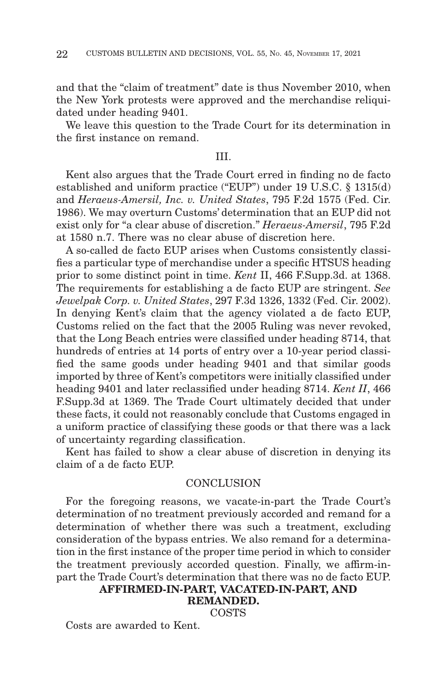and that the "claim of treatment" date is thus November 2010, when the New York protests were approved and the merchandise reliquidated under heading 9401.

We leave this question to the Trade Court for its determination in the first instance on remand.

#### III.

Kent also argues that the Trade Court erred in finding no de facto established and uniform practice ("EUP") under 19 U.S.C. § 1315(d) and *Heraeus-Amersil, Inc. v. United States*, 795 F.2d 1575 (Fed. Cir. 1986). We may overturn Customs' determination that an EUP did not exist only for "a clear abuse of discretion." *Heraeus-Amersil*, 795 F.2d at 1580 n.7. There was no clear abuse of discretion here.

A so-called de facto EUP arises when Customs consistently classifies a particular type of merchandise under a specific HTSUS heading prior to some distinct point in time. *Kent* II, 466 F.Supp.3d. at 1368. The requirements for establishing a de facto EUP are stringent. *See Jewelpak Corp. v. United States*, 297 F.3d 1326, 1332 (Fed. Cir. 2002). In denying Kent's claim that the agency violated a de facto EUP, Customs relied on the fact that the 2005 Ruling was never revoked, that the Long Beach entries were classified under heading 8714, that hundreds of entries at 14 ports of entry over a 10-year period classified the same goods under heading 9401 and that similar goods imported by three of Kent's competitors were initially classified under heading 9401 and later reclassified under heading 8714. *Kent II*, 466 F.Supp.3d at 1369. The Trade Court ultimately decided that under these facts, it could not reasonably conclude that Customs engaged in a uniform practice of classifying these goods or that there was a lack of uncertainty regarding classification.

Kent has failed to show a clear abuse of discretion in denying its claim of a de facto EUP.

#### **CONCLUSION**

For the foregoing reasons, we vacate-in-part the Trade Court's determination of no treatment previously accorded and remand for a determination of whether there was such a treatment, excluding consideration of the bypass entries. We also remand for a determination in the first instance of the proper time period in which to consider the treatment previously accorded question. Finally, we affirm-inpart the Trade Court's determination that there was no de facto EUP.

#### **AFFIRMED-IN-PART, VACATED-IN-PART, AND**

#### **REMANDED.**

**COSTS** 

Costs are awarded to Kent.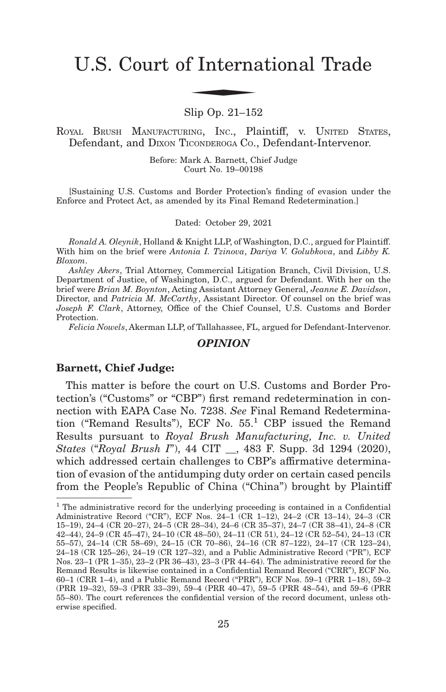# U.S. Court of International Trade f Interna

#### Slip Op. 21–152

ROYAL BRUSH MANUFACTURING, INC., Plaintiff, v. UNITED STATES, Defendant, and DIXON TICONDEROGA CO., Defendant-Intervenor.

> Before: Mark A. Barnett, Chief Judge Court No. 19–00198

[Sustaining U.S. Customs and Border Protection's finding of evasion under the Enforce and Protect Act, as amended by its Final Remand Redetermination.]

Dated: October 29, 2021

*Ronald A. Oleynik*, Holland & Knight LLP, of Washington, D.C., argued for Plaintiff. With him on the brief were *Antonia I. Tzinova*, *Dariya V. Golubkova*, and *Libby K. Bloxom*.

*Ashley Akers*, Trial Attorney, Commercial Litigation Branch, Civil Division, U.S. Department of Justice, of Washington, D.C., argued for Defendant. With her on the brief were *Brian M. Boynton*, Acting Assistant Attorney General, *Jeanne E. Davidson*, Director, and *Patricia M. McCarthy*, Assistant Director. Of counsel on the brief was *Joseph F. Clark*, Attorney, Office of the Chief Counsel, U.S. Customs and Border Protection.

*Felicia Nowels*, Akerman LLP, of Tallahassee, FL, argued for Defendant-Intervenor.

#### *OPINION*

#### **Barnett, Chief Judge:**

This matter is before the court on U.S. Customs and Border Protection's ("Customs" or "CBP") first remand redetermination in connection with EAPA Case No. 7238. *See* Final Remand Redetermination ("Remand Results"), ECF No. 55.<sup>1</sup> CBP issued the Remand Results pursuant to *Royal Brush Manufacturing, Inc. v. United States* ("*Royal Brush I*"), 44 CIT \_\_, 483 F. Supp. 3d 1294 (2020), which addressed certain challenges to CBP's affirmative determination of evasion of the antidumping duty order on certain cased pencils from the People's Republic of China ("China") brought by Plaintiff

<sup>&</sup>lt;sup>1</sup> The administrative record for the underlying proceeding is contained in a Confidential Administrative Record ("CR"), ECF Nos. 24–1 (CR 1–12), 24–2 (CR 13–14), 24–3 (CR 15–19), 24–4 (CR 20–27), 24–5 (CR 28–34), 24–6 (CR 35–37), 24–7 (CR 38–41), 24–8 (CR 42–44), 24–9 (CR 45–47), 24–10 (CR 48–50), 24–11 (CR 51), 24–12 (CR 52–54), 24–13 (CR 55–57), 24–14 (CR 58–69), 24–15 (CR 70–86), 24–16 (CR 87–122), 24–17 (CR 123–24), 24–18 (CR 125–26), 24–19 (CR 127–32), and a Public Administrative Record ("PR"), ECF Nos. 23–1 (PR 1–35), 23–2 (PR 36–43), 23–3 (PR 44–64). The administrative record for the Remand Results is likewise contained in a Confidential Remand Record ("CRR"), ECF No. 60–1 (CRR 1–4), and a Public Remand Record ("PRR"), ECF Nos. 59–1 (PRR 1–18), 59–2 (PRR 19–32), 59–3 (PRR 33–39), 59–4 (PRR 40–47), 59–5 (PRR 48–54), and 59–6 (PRR 55–80). The court references the confidential version of the record document, unless otherwise specified.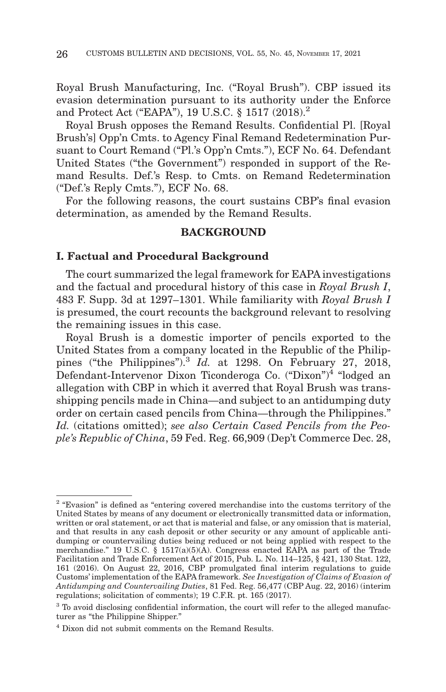Royal Brush Manufacturing, Inc. ("Royal Brush"). CBP issued its evasion determination pursuant to its authority under the Enforce and Protect Act ("EAPA"), 19 U.S.C. § 1517 (2018).2

Royal Brush opposes the Remand Results. Confidential Pl. [Royal Brush's] Opp'n Cmts. to Agency Final Remand Redetermination Pursuant to Court Remand ("Pl.'s Opp'n Cmts."), ECF No. 64. Defendant United States ("the Government") responded in support of the Remand Results. Def.'s Resp. to Cmts. on Remand Redetermination ("Def.'s Reply Cmts."), ECF No. 68.

For the following reasons, the court sustains CBP's final evasion determination, as amended by the Remand Results.

#### **BACKGROUND**

#### **I. Factual and Procedural Background**

The court summarized the legal framework for EAPA investigations and the factual and procedural history of this case in *Royal Brush I*, 483 F. Supp. 3d at 1297–1301. While familiarity with *Royal Brush I* is presumed, the court recounts the background relevant to resolving the remaining issues in this case.

Royal Brush is a domestic importer of pencils exported to the United States from a company located in the Republic of the Philippines ("the Philippines").<sup>3</sup> *Id.* at 1298. On February 27, 2018, Defendant-Intervenor Dixon Ticonderoga Co. ("Dixon")<sup>4</sup> "lodged an allegation with CBP in which it averred that Royal Brush was transshipping pencils made in China—and subject to an antidumping duty order on certain cased pencils from China—through the Philippines." *Id.* (citations omitted); *see also Certain Cased Pencils from the People's Republic of China*, 59 Fed. Reg. 66,909 (Dep't Commerce Dec. 28,

 $2$  "Evasion" is defined as "entering covered merchandise into the customs territory of the United States by means of any document or electronically transmitted data or information, written or oral statement, or act that is material and false, or any omission that is material, and that results in any cash deposit or other security or any amount of applicable antidumping or countervailing duties being reduced or not being applied with respect to the merchandise." 19 U.S.C.  $\S$  1517(a)(5)(A). Congress enacted EAPA as part of the Trade Facilitation and Trade Enforcement Act of 2015, Pub. L. No. 114–125, § 421, 130 Stat. 122, 161 (2016). On August 22, 2016, CBP promulgated final interim regulations to guide Customs' implementation of the EAPA framework. *See Investigation of Claims of Evasion of Antidumping and Countervailing Duties*, 81 Fed. Reg. 56,477 (CBP Aug. 22, 2016) (interim regulations; solicitation of comments); 19 C.F.R. pt. 165 (2017).

<sup>&</sup>lt;sup>3</sup> To avoid disclosing confidential information, the court will refer to the alleged manufacturer as "the Philippine Shipper."

<sup>4</sup> Dixon did not submit comments on the Remand Results.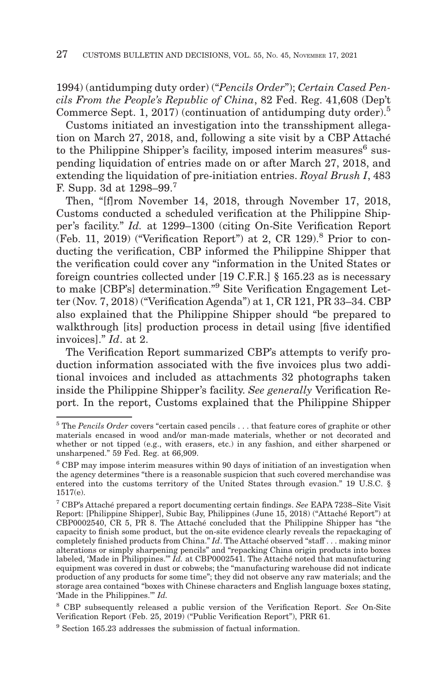1994) (antidumping duty order) ("*Pencils Order*"); *Certain Cased Pencils From the People's Republic of China*, 82 Fed. Reg. 41,608 (Dep't Commerce Sept. 1, 2017) (continuation of antidumping duty order).5

Customs initiated an investigation into the transshipment allegation on March 27, 2018, and, following a site visit by a CBP Attaché to the Philippine Shipper's facility, imposed interim measures<sup>6</sup> suspending liquidation of entries made on or after March 27, 2018, and extending the liquidation of pre-initiation entries. *Royal Brush I*, 483 F. Supp. 3d at 1298–99.7

Then, "[f]rom November 14, 2018, through November 17, 2018, Customs conducted a scheduled verification at the Philippine Shipper's facility." *Id.* at 1299–1300 (citing On-Site Verification Report (Feb. 11, 2019) ("Verification Report") at 2, CR 129).8 Prior to conducting the verification, CBP informed the Philippine Shipper that the verification could cover any "information in the United States or foreign countries collected under [19 C.F.R.] § 165.23 as is necessary to make [CBP's] determination."9 Site Verification Engagement Letter (Nov. 7, 2018) ("Verification Agenda") at 1, CR 121, PR 33–34. CBP also explained that the Philippine Shipper should "be prepared to walkthrough [its] production process in detail using [five identified invoices]." *Id*. at 2.

The Verification Report summarized CBP's attempts to verify production information associated with the five invoices plus two additional invoices and included as attachments 32 photographs taken inside the Philippine Shipper's facility. *See generally* Verification Report. In the report, Customs explained that the Philippine Shipper

<sup>5</sup> The *Pencils Order* covers "certain cased pencils . . . that feature cores of graphite or other materials encased in wood and/or man-made materials, whether or not decorated and whether or not tipped (e.g., with erasers, etc.) in any fashion, and either sharpened or unsharpened." 59 Fed. Reg. at 66,909.

<sup>6</sup> CBP may impose interim measures within 90 days of initiation of an investigation when the agency determines "there is a reasonable suspicion that such covered merchandise was entered into the customs territory of the United States through evasion." 19 U.S.C. § 1517(e).

<sup>7</sup> CBP's Attaché prepared a report documenting certain findings. *See* EAPA 7238–Site Visit Report: [Philippine Shipper], Subic Bay, Philippines (June 15, 2018) ("Attaché Report") at CBP0002540, CR 5, PR 8. The Attaché concluded that the Philippine Shipper has "the capacity to finish some product, but the on-site evidence clearly reveals the repackaging of completely finished products from China." *Id*. The Attaché observed "staff . . . making minor alterations or simply sharpening pencils" and "repacking China origin products into boxes labeled, 'Made in Philippines.'" *Id.* at CBP0002541. The Attaché noted that manufacturing equipment was covered in dust or cobwebs; the "manufacturing warehouse did not indicate production of any products for some time"; they did not observe any raw materials; and the storage area contained "boxes with Chinese characters and English language boxes stating, 'Made in the Philippines.'" *Id.*

<sup>8</sup> CBP subsequently released a public version of the Verification Report. *See* On-Site Verification Report (Feb. 25, 2019) ("Public Verification Report"), PRR 61.

<sup>&</sup>lt;sup>9</sup> Section 165.23 addresses the submission of factual information.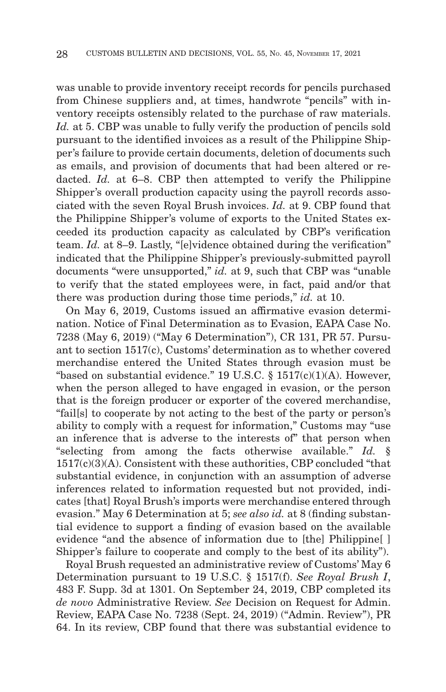was unable to provide inventory receipt records for pencils purchased from Chinese suppliers and, at times, handwrote "pencils" with inventory receipts ostensibly related to the purchase of raw materials. *Id.* at 5. CBP was unable to fully verify the production of pencils sold pursuant to the identified invoices as a result of the Philippine Shipper's failure to provide certain documents, deletion of documents such as emails, and provision of documents that had been altered or redacted. *Id.* at 6–8. CBP then attempted to verify the Philippine Shipper's overall production capacity using the payroll records associated with the seven Royal Brush invoices. *Id.* at 9. CBP found that the Philippine Shipper's volume of exports to the United States exceeded its production capacity as calculated by CBP's verification team. *Id.* at 8–9. Lastly, "[e]vidence obtained during the verification" indicated that the Philippine Shipper's previously-submitted payroll documents "were unsupported," *id.* at 9, such that CBP was "unable to verify that the stated employees were, in fact, paid and/or that there was production during those time periods," *id.* at 10.

On May 6, 2019, Customs issued an affirmative evasion determination. Notice of Final Determination as to Evasion, EAPA Case No. 7238 (May 6, 2019) ("May 6 Determination"), CR 131, PR 57. Pursuant to section 1517(c), Customs' determination as to whether covered merchandise entered the United States through evasion must be "based on substantial evidence." 19 U.S.C. §  $1517(c)(1)(A)$ . However, when the person alleged to have engaged in evasion, or the person that is the foreign producer or exporter of the covered merchandise, "fail[s] to cooperate by not acting to the best of the party or person's ability to comply with a request for information," Customs may "use an inference that is adverse to the interests of" that person when "selecting from among the facts otherwise available." *Id.* § 1517(c)(3)(A). Consistent with these authorities, CBP concluded "that substantial evidence, in conjunction with an assumption of adverse inferences related to information requested but not provided, indicates [that] Royal Brush's imports were merchandise entered through evasion." May 6 Determination at 5; *see also id.* at 8 (finding substantial evidence to support a finding of evasion based on the available evidence "and the absence of information due to [the] Philippine[ ] Shipper's failure to cooperate and comply to the best of its ability").

Royal Brush requested an administrative review of Customs' May 6 Determination pursuant to 19 U.S.C. § 1517(f). *See Royal Brush I*, 483 F. Supp. 3d at 1301. On September 24, 2019, CBP completed its *de novo* Administrative Review. *See* Decision on Request for Admin. Review, EAPA Case No. 7238 (Sept. 24, 2019) ("Admin. Review"), PR 64. In its review, CBP found that there was substantial evidence to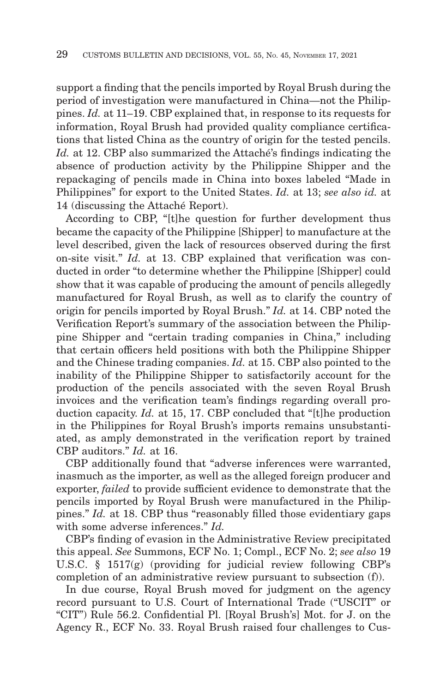support a finding that the pencils imported by Royal Brush during the period of investigation were manufactured in China—not the Philippines. *Id.* at 11–19. CBP explained that, in response to its requests for information, Royal Brush had provided quality compliance certifications that listed China as the country of origin for the tested pencils. *Id.* at 12. CBP also summarized the Attaché's findings indicating the absence of production activity by the Philippine Shipper and the repackaging of pencils made in China into boxes labeled "Made in Philippines" for export to the United States. *Id.* at 13; *see also id.* at 14 (discussing the Attaché Report).

According to CBP, "[t]he question for further development thus became the capacity of the Philippine [Shipper] to manufacture at the level described, given the lack of resources observed during the first on-site visit." *Id.* at 13. CBP explained that verification was conducted in order "to determine whether the Philippine [Shipper] could show that it was capable of producing the amount of pencils allegedly manufactured for Royal Brush, as well as to clarify the country of origin for pencils imported by Royal Brush." *Id.* at 14. CBP noted the Verification Report's summary of the association between the Philippine Shipper and "certain trading companies in China," including that certain officers held positions with both the Philippine Shipper and the Chinese trading companies. *Id.* at 15. CBP also pointed to the inability of the Philippine Shipper to satisfactorily account for the production of the pencils associated with the seven Royal Brush invoices and the verification team's findings regarding overall production capacity. *Id.* at 15, 17. CBP concluded that "[t]he production in the Philippines for Royal Brush's imports remains unsubstantiated, as amply demonstrated in the verification report by trained CBP auditors." *Id.* at 16.

CBP additionally found that "adverse inferences were warranted, inasmuch as the importer, as well as the alleged foreign producer and exporter, *failed* to provide sufficient evidence to demonstrate that the pencils imported by Royal Brush were manufactured in the Philippines." *Id.* at 18. CBP thus "reasonably filled those evidentiary gaps with some adverse inferences." *Id.*

CBP's finding of evasion in the Administrative Review precipitated this appeal. *See* Summons, ECF No. 1; Compl., ECF No. 2; *see also* 19 U.S.C. § 1517(g) (providing for judicial review following CBP's completion of an administrative review pursuant to subsection (f)).

In due course, Royal Brush moved for judgment on the agency record pursuant to U.S. Court of International Trade ("USCIT" or "CIT") Rule 56.2. Confidential Pl. [Royal Brush's] Mot. for J. on the Agency R., ECF No. 33. Royal Brush raised four challenges to Cus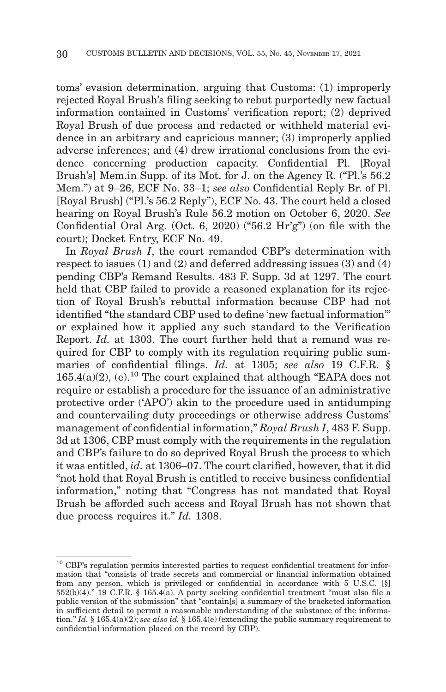toms' evasion determination, arguing that Customs: (1) improperly rejected Royal Brush's filing seeking to rebut purportedly new factual information contained in Customs' verification report; (2) deprived Royal Brush of due process and redacted or withheld material evidence in an arbitrary and capricious manner; (3) improperly applied adverse inferences; and (4) drew irrational conclusions from the evidence concerning production capacity. Confidential Pl. [Royal Brush's] Mem.in Supp. of its Mot. for J. on the Agency R. ("Pl.'s 56.2 Mem.") at 9–26, ECF No. 33–1; *see also* Confidential Reply Br. of Pl. [Royal Brush] ("Pl.'s 56.2 Reply"), ECF No. 43. The court held a closed hearing on Royal Brush's Rule 56.2 motion on October 6, 2020. *See* Confidential Oral Arg. (Oct. 6, 2020) ("56.2 Hr'g") (on file with the court); Docket Entry, ECF No. 49.

In *Royal Brush I*, the court remanded CBP's determination with respect to issues (1) and (2) and deferred addressing issues (3) and (4) pending CBP's Remand Results. 483 F. Supp. 3d at 1297. The court held that CBP failed to provide a reasoned explanation for its rejection of Royal Brush's rebuttal information because CBP had not identified "the standard CBP used to define 'new factual information'" or explained how it applied any such standard to the Verification Report. *Id.* at 1303. The court further held that a remand was required for CBP to comply with its regulation requiring public summaries of confidential filings. *Id.* at 1305; *see also* 19 C.F.R. §  $165.4(a)(2)$ , (e).<sup>10</sup> The court explained that although "EAPA does not require or establish a procedure for the issuance of an administrative protective order ('APO') akin to the procedure used in antidumping and countervailing duty proceedings or otherwise address Customs' management of confidential information," *Royal Brush I*, 483 F. Supp. 3d at 1306, CBP must comply with the requirements in the regulation and CBP's failure to do so deprived Royal Brush the process to which it was entitled, *id.* at 1306–07. The court clarified, however, that it did "not hold that Royal Brush is entitled to receive business confidential information," noting that "Congress has not mandated that Royal Brush be afforded such access and Royal Brush has not shown that due process requires it." *Id.* 1308.

<sup>10</sup> CBP's regulation permits interested parties to request confidential treatment for information that "consists of trade secrets and commercial or financial information obtained from any person, which is privileged or confidential in accordance with 5 U.S.C. [§] 552(b)(4)." 19 C.F.R. § 165.4(a). A party seeking confidential treatment "must also file a public version of the submission" that "contain[s] a summary of the bracketed information in sufficient detail to permit a reasonable understanding of the substance of the information." *Id.* § 165.4(a)(2); *see also id.* § 165.4(e) (extending the public summary requirement to confidential information placed on the record by CBP).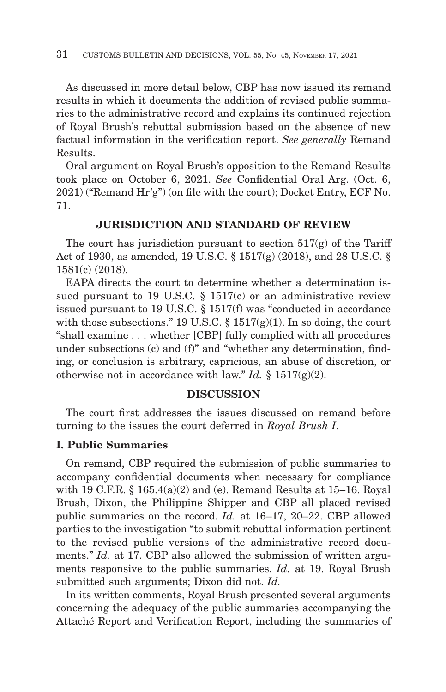As discussed in more detail below, CBP has now issued its remand results in which it documents the addition of revised public summaries to the administrative record and explains its continued rejection of Royal Brush's rebuttal submission based on the absence of new factual information in the verification report. *See generally* Remand Results.

Oral argument on Royal Brush's opposition to the Remand Results took place on October 6, 2021. *See* Confidential Oral Arg. (Oct. 6, 2021) ("Remand Hr'g") (on file with the court); Docket Entry, ECF No. 71.

#### **JURISDICTION AND STANDARD OF REVIEW**

The court has jurisdiction pursuant to section  $517(g)$  of the Tariff Act of 1930, as amended, 19 U.S.C. § 1517(g) (2018), and 28 U.S.C. § 1581(c) (2018).

EAPA directs the court to determine whether a determination issued pursuant to 19 U.S.C.  $\S$  1517(c) or an administrative review issued pursuant to 19 U.S.C. § 1517(f) was "conducted in accordance with those subsections." 19 U.S.C.  $\S 1517(g)(1)$ . In so doing, the court "shall examine . . . whether [CBP] fully complied with all procedures under subsections (c) and (f)" and "whether any determination, finding, or conclusion is arbitrary, capricious, an abuse of discretion, or otherwise not in accordance with law." *Id.*  $\S 1517(g)(2)$ .

#### **DISCUSSION**

The court first addresses the issues discussed on remand before turning to the issues the court deferred in *Royal Brush I*.

#### **I. Public Summaries**

On remand, CBP required the submission of public summaries to accompany confidential documents when necessary for compliance with 19 C.F.R.  $\S$  165.4(a)(2) and (e). Remand Results at 15–16. Royal Brush, Dixon, the Philippine Shipper and CBP all placed revised public summaries on the record. *Id.* at 16–17, 20–22. CBP allowed parties to the investigation "to submit rebuttal information pertinent to the revised public versions of the administrative record documents." *Id.* at 17. CBP also allowed the submission of written arguments responsive to the public summaries. *Id.* at 19. Royal Brush submitted such arguments; Dixon did not. *Id.*

In its written comments, Royal Brush presented several arguments concerning the adequacy of the public summaries accompanying the Attaché Report and Verification Report, including the summaries of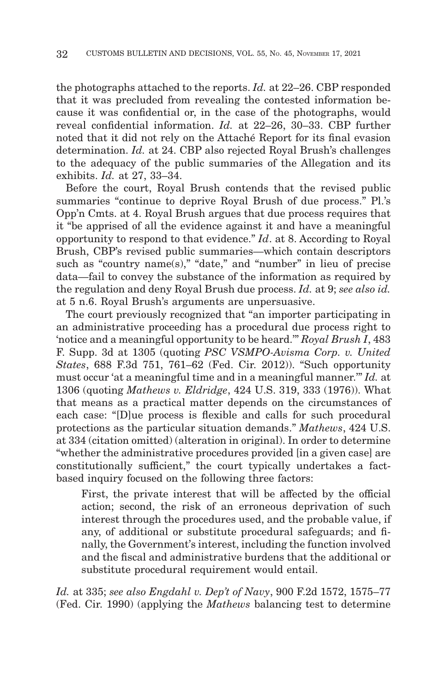the photographs attached to the reports. *Id.* at 22–26. CBP responded that it was precluded from revealing the contested information because it was confidential or, in the case of the photographs, would reveal confidential information. *Id.* at 22–26, 30–33. CBP further noted that it did not rely on the Attaché Report for its final evasion determination. *Id.* at 24. CBP also rejected Royal Brush's challenges to the adequacy of the public summaries of the Allegation and its exhibits. *Id.* at 27, 33–34.

Before the court, Royal Brush contends that the revised public summaries "continue to deprive Royal Brush of due process." Pl.'s Opp'n Cmts. at 4. Royal Brush argues that due process requires that it "be apprised of all the evidence against it and have a meaningful opportunity to respond to that evidence." *Id*. at 8. According to Royal Brush, CBP's revised public summaries—which contain descriptors such as "country name(s)," "date," and "number" in lieu of precise data—fail to convey the substance of the information as required by the regulation and deny Royal Brush due process. *Id.* at 9; *see also id.* at 5 n.6. Royal Brush's arguments are unpersuasive.

The court previously recognized that "an importer participating in an administrative proceeding has a procedural due process right to 'notice and a meaningful opportunity to be heard.'" *Royal Brush I*, 483 F. Supp. 3d at 1305 (quoting *PSC VSMPO-Avisma Corp. v. United States*, 688 F.3d 751, 761–62 (Fed. Cir. 2012)). "Such opportunity must occur 'at a meaningful time and in a meaningful manner.'" *Id.* at 1306 (quoting *Mathews v. Eldridge*, 424 U.S. 319, 333 (1976)). What that means as a practical matter depends on the circumstances of each case: "[D]ue process is flexible and calls for such procedural protections as the particular situation demands." *Mathews*, 424 U.S. at 334 (citation omitted) (alteration in original). In order to determine "whether the administrative procedures provided [in a given case] are constitutionally sufficient," the court typically undertakes a factbased inquiry focused on the following three factors:

First, the private interest that will be affected by the official action; second, the risk of an erroneous deprivation of such interest through the procedures used, and the probable value, if any, of additional or substitute procedural safeguards; and finally, the Government's interest, including the function involved and the fiscal and administrative burdens that the additional or substitute procedural requirement would entail.

*Id.* at 335; *see also Engdahl v. Dep't of Navy*, 900 F.2d 1572, 1575–77 (Fed. Cir. 1990) (applying the *Mathews* balancing test to determine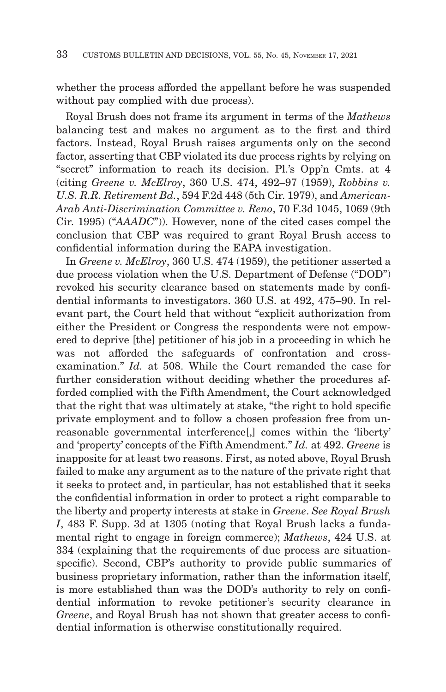whether the process afforded the appellant before he was suspended without pay complied with due process).

Royal Brush does not frame its argument in terms of the *Mathews* balancing test and makes no argument as to the first and third factors. Instead, Royal Brush raises arguments only on the second factor, asserting that CBP violated its due process rights by relying on "secret" information to reach its decision. Pl.'s Opp'n Cmts. at 4 (citing *Greene v. McElroy*, 360 U.S. 474, 492–97 (1959), *Robbins v. U.S. R.R. Retirement Bd.*, 594 F.2d 448 (5th Cir. 1979), and *American-Arab Anti-Discrimination Committee v. Reno*, 70 F.3d 1045, 1069 (9th Cir. 1995) ("*AAADC*")). However, none of the cited cases compel the conclusion that CBP was required to grant Royal Brush access to confidential information during the EAPA investigation.

In *Greene v. McElroy*, 360 U.S. 474 (1959), the petitioner asserted a due process violation when the U.S. Department of Defense ("DOD") revoked his security clearance based on statements made by confidential informants to investigators. 360 U.S. at 492, 475–90. In relevant part, the Court held that without "explicit authorization from either the President or Congress the respondents were not empowered to deprive [the] petitioner of his job in a proceeding in which he was not afforded the safeguards of confrontation and crossexamination." *Id.* at 508. While the Court remanded the case for further consideration without deciding whether the procedures afforded complied with the Fifth Amendment, the Court acknowledged that the right that was ultimately at stake, "the right to hold specific private employment and to follow a chosen profession free from unreasonable governmental interference[,] comes within the 'liberty' and 'property' concepts of the Fifth Amendment." *Id.* at 492. *Greene* is inapposite for at least two reasons. First, as noted above, Royal Brush failed to make any argument as to the nature of the private right that it seeks to protect and, in particular, has not established that it seeks the confidential information in order to protect a right comparable to the liberty and property interests at stake in *Greene*. *See Royal Brush I*, 483 F. Supp. 3d at 1305 (noting that Royal Brush lacks a fundamental right to engage in foreign commerce); *Mathews*, 424 U.S. at 334 (explaining that the requirements of due process are situationspecific). Second, CBP's authority to provide public summaries of business proprietary information, rather than the information itself, is more established than was the DOD's authority to rely on confidential information to revoke petitioner's security clearance in *Greene*, and Royal Brush has not shown that greater access to confidential information is otherwise constitutionally required.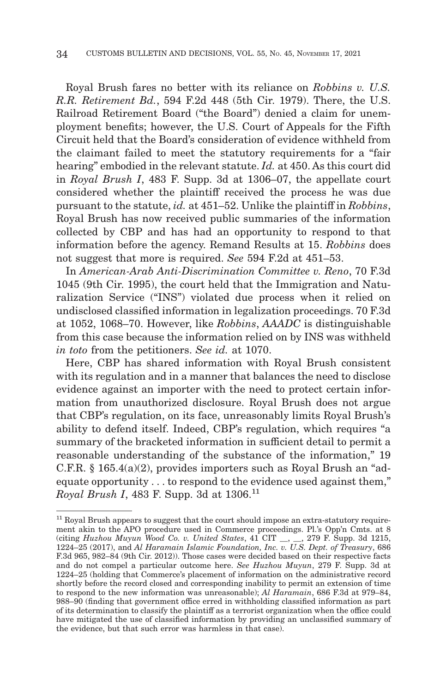Royal Brush fares no better with its reliance on *Robbins v. U.S. R.R. Retirement Bd.*, 594 F.2d 448 (5th Cir. 1979). There, the U.S. Railroad Retirement Board ("the Board") denied a claim for unemployment benefits; however, the U.S. Court of Appeals for the Fifth Circuit held that the Board's consideration of evidence withheld from the claimant failed to meet the statutory requirements for a "fair hearing" embodied in the relevant statute. *Id.* at 450. As this court did in *Royal Brush I*, 483 F. Supp. 3d at 1306–07, the appellate court considered whether the plaintiff received the process he was due pursuant to the statute, *id.* at 451–52. Unlike the plaintiff in *Robbins*, Royal Brush has now received public summaries of the information collected by CBP and has had an opportunity to respond to that information before the agency. Remand Results at 15. *Robbins* does not suggest that more is required. *See* 594 F.2d at 451–53.

In *American-Arab Anti-Discrimination Committee v. Reno*, 70 F.3d 1045 (9th Cir. 1995), the court held that the Immigration and Naturalization Service ("INS") violated due process when it relied on undisclosed classified information in legalization proceedings. 70 F.3d at 1052, 1068–70. However, like *Robbins*, *AAADC* is distinguishable from this case because the information relied on by INS was withheld *in toto* from the petitioners. *See id.* at 1070.

Here, CBP has shared information with Royal Brush consistent with its regulation and in a manner that balances the need to disclose evidence against an importer with the need to protect certain information from unauthorized disclosure. Royal Brush does not argue that CBP's regulation, on its face, unreasonably limits Royal Brush's ability to defend itself. Indeed, CBP's regulation, which requires "a summary of the bracketed information in sufficient detail to permit a reasonable understanding of the substance of the information," 19 C.F.R. § 165.4(a)(2), provides importers such as Royal Brush an "adequate opportunity . . . to respond to the evidence used against them," *Royal Brush I*, 483 F. Supp. 3d at 1306.<sup>11</sup>

 $11$  Royal Brush appears to suggest that the court should impose an extra-statutory requirement akin to the APO procedure used in Commerce proceedings. Pl.'s Opp'n Cmts. at 8 (citing *Huzhou Muyun Wood Co. v. United States*, 41 CIT \_\_, \_\_, 279 F. Supp. 3d 1215, 1224–25 (2017), and *Al Haramain Islamic Foundation, Inc. v. U.S. Dept. of Treasury*, 686 F.3d 965, 982–84 (9th Cir. 2012)). Those cases were decided based on their respective facts and do not compel a particular outcome here. *See Huzhou Muyun*, 279 F. Supp. 3d at 1224–25 (holding that Commerce's placement of information on the administrative record shortly before the record closed and corresponding inability to permit an extension of time to respond to the new information was unreasonable); *Al Haramain*, 686 F.3d at 979–84, 988–90 (finding that government office erred in withholding classified information as part of its determination to classify the plaintiff as a terrorist organization when the office could have mitigated the use of classified information by providing an unclassified summary of the evidence, but that such error was harmless in that case).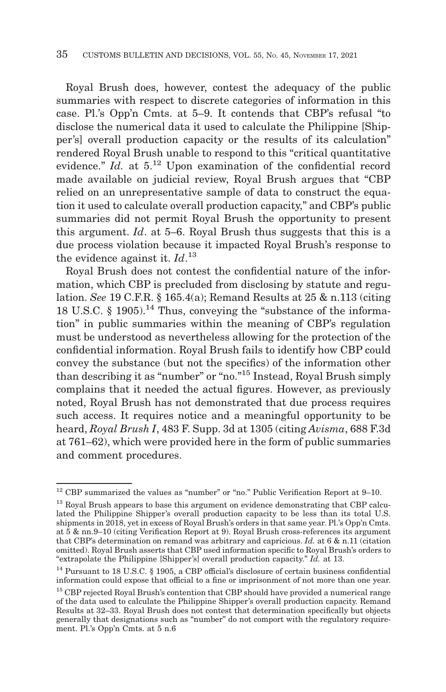Royal Brush does, however, contest the adequacy of the public summaries with respect to discrete categories of information in this case. Pl.'s Opp'n Cmts. at 5–9. It contends that CBP's refusal "to disclose the numerical data it used to calculate the Philippine [Shipper's] overall production capacity or the results of its calculation" rendered Royal Brush unable to respond to this "critical quantitative evidence." *Id.* at  $5^{12}$  Upon examination of the confidential record made available on judicial review, Royal Brush argues that "CBP relied on an unrepresentative sample of data to construct the equation it used to calculate overall production capacity," and CBP's public summaries did not permit Royal Brush the opportunity to present this argument. *Id*. at 5–6. Royal Brush thus suggests that this is a due process violation because it impacted Royal Brush's response to the evidence against it.  $Id$ .<sup>13</sup>

Royal Brush does not contest the confidential nature of the information, which CBP is precluded from disclosing by statute and regulation. *See* 19 C.F.R. § 165.4(a); Remand Results at 25 & n.113 (citing 18 U.S.C.  $\S$  1905).<sup>14</sup> Thus, conveying the "substance of the information" in public summaries within the meaning of CBP's regulation must be understood as nevertheless allowing for the protection of the confidential information. Royal Brush fails to identify how CBP could convey the substance (but not the specifics) of the information other than describing it as "number" or "no."15 Instead, Royal Brush simply complains that it needed the actual figures. However, as previously noted, Royal Brush has not demonstrated that due process requires such access. It requires notice and a meaningful opportunity to be heard, *Royal Brush I*, 483 F. Supp. 3d at 1305 (citing *Avisma*, 688 F.3d at 761–62), which were provided here in the form of public summaries and comment procedures.

 $^{12}$  CBP summarized the values as "number" or "no." Public Verification Report at 9–10.

<sup>&</sup>lt;sup>13</sup> Royal Brush appears to base this argument on evidence demonstrating that CBP calculated the Philippine Shipper's overall production capacity to be less than its total U.S. shipments in 2018, yet in excess of Royal Brush's orders in that same year. Pl.'s Opp'n Cmts. at 5 & nn.9–10 (citing Verification Report at 9). Royal Brush cross-references its argument that CBP's determination on remand was arbitrary and capricious. *Id.* at 6 & n.11 (citation omitted). Royal Brush asserts that CBP used information specific to Royal Brush's orders to "extrapolate the Philippine [Shipper's] overall production capacity." *Id.* at 13.

<sup>&</sup>lt;sup>14</sup> Pursuant to 18 U.S.C. § 1905, a CBP official's disclosure of certain business confidential information could expose that official to a fine or imprisonment of not more than one year.

<sup>&</sup>lt;sup>15</sup> CBP rejected Royal Brush's contention that CBP should have provided a numerical range of the data used to calculate the Philippine Shipper's overall production capacity. Remand Results at 32–33. Royal Brush does not contest that determination specifically but objects generally that designations such as "number" do not comport with the regulatory requirement. Pl.'s Opp'n Cmts. at 5 n.6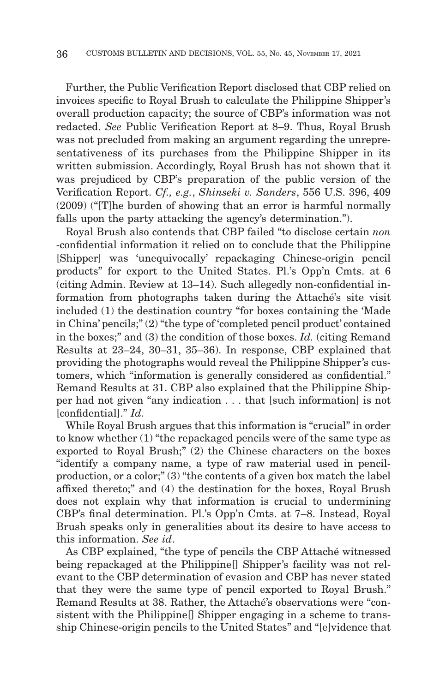Further, the Public Verification Report disclosed that CBP relied on invoices specific to Royal Brush to calculate the Philippine Shipper's overall production capacity; the source of CBP's information was not redacted. *See* Public Verification Report at 8–9. Thus, Royal Brush was not precluded from making an argument regarding the unrepresentativeness of its purchases from the Philippine Shipper in its written submission. Accordingly, Royal Brush has not shown that it was prejudiced by CBP's preparation of the public version of the Verification Report. *Cf., e.g.*, *Shinseki v. Sanders*, 556 U.S. 396, 409 (2009) ("[T]he burden of showing that an error is harmful normally falls upon the party attacking the agency's determination.").

Royal Brush also contends that CBP failed "to disclose certain *non* -confidential information it relied on to conclude that the Philippine [Shipper] was 'unequivocally' repackaging Chinese-origin pencil products" for export to the United States. Pl.'s Opp'n Cmts. at 6 (citing Admin. Review at 13–14). Such allegedly non-confidential information from photographs taken during the Attaché's site visit included (1) the destination country "for boxes containing the 'Made in China' pencils;" (2) "the type of 'completed pencil product' contained in the boxes;" and (3) the condition of those boxes. *Id.* (citing Remand Results at 23–24, 30–31, 35–36). In response, CBP explained that providing the photographs would reveal the Philippine Shipper's customers, which "information is generally considered as confidential." Remand Results at 31. CBP also explained that the Philippine Shipper had not given "any indication . . . that [such information] is not [confidential]." *Id.*

While Royal Brush argues that this information is "crucial" in order to know whether (1) "the repackaged pencils were of the same type as exported to Royal Brush;" (2) the Chinese characters on the boxes "identify a company name, a type of raw material used in pencilproduction, or a color;" (3) "the contents of a given box match the label affixed thereto;" and (4) the destination for the boxes, Royal Brush does not explain why that information is crucial to undermining CBP's final determination. Pl.'s Opp'n Cmts. at 7–8. Instead, Royal Brush speaks only in generalities about its desire to have access to this information. *See id*.

As CBP explained, "the type of pencils the CBP Attaché witnessed being repackaged at the Philippine[] Shipper's facility was not relevant to the CBP determination of evasion and CBP has never stated that they were the same type of pencil exported to Royal Brush." Remand Results at 38. Rather, the Attaché's observations were "consistent with the Philippine[] Shipper engaging in a scheme to transship Chinese-origin pencils to the United States" and "[e]vidence that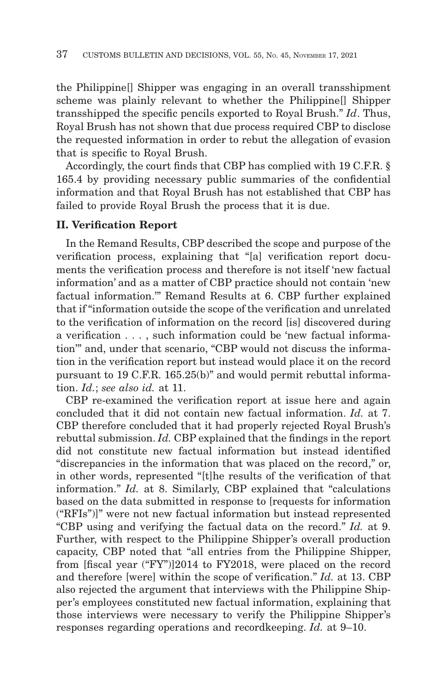the Philippine[] Shipper was engaging in an overall transshipment scheme was plainly relevant to whether the Philippine[] Shipper transshipped the specific pencils exported to Royal Brush." *Id*. Thus, Royal Brush has not shown that due process required CBP to disclose the requested information in order to rebut the allegation of evasion that is specific to Royal Brush.

Accordingly, the court finds that CBP has complied with 19 C.F.R. § 165.4 by providing necessary public summaries of the confidential information and that Royal Brush has not established that CBP has failed to provide Royal Brush the process that it is due.

#### **II. Verification Report**

In the Remand Results, CBP described the scope and purpose of the verification process, explaining that "[a] verification report documents the verification process and therefore is not itself 'new factual information' and as a matter of CBP practice should not contain 'new factual information.'" Remand Results at 6. CBP further explained that if "information outside the scope of the verification and unrelated to the verification of information on the record [is] discovered during a verification . . . , such information could be 'new factual information'" and, under that scenario, "CBP would not discuss the information in the verification report but instead would place it on the record pursuant to 19 C.F.R. 165.25(b)" and would permit rebuttal information. *Id.*; *see also id.* at 11.

CBP re-examined the verification report at issue here and again concluded that it did not contain new factual information. *Id.* at 7. CBP therefore concluded that it had properly rejected Royal Brush's rebuttal submission. *Id.* CBP explained that the findings in the report did not constitute new factual information but instead identified "discrepancies in the information that was placed on the record," or, in other words, represented "[t]he results of the verification of that information." *Id.* at 8. Similarly, CBP explained that "calculations based on the data submitted in response to [requests for information ("RFIs")]" were not new factual information but instead represented "CBP using and verifying the factual data on the record." *Id.* at 9. Further, with respect to the Philippine Shipper's overall production capacity, CBP noted that "all entries from the Philippine Shipper, from [fiscal year ("FY")]2014 to FY2018, were placed on the record and therefore [were] within the scope of verification." *Id.* at 13. CBP also rejected the argument that interviews with the Philippine Shipper's employees constituted new factual information, explaining that those interviews were necessary to verify the Philippine Shipper's responses regarding operations and recordkeeping. *Id.* at 9–10.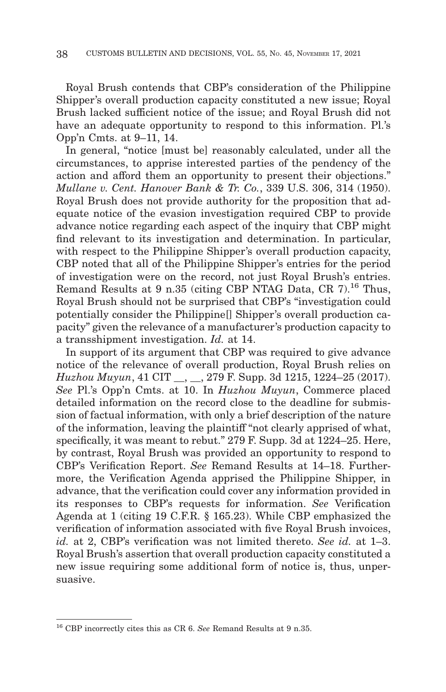Royal Brush contends that CBP's consideration of the Philippine Shipper's overall production capacity constituted a new issue; Royal Brush lacked sufficient notice of the issue; and Royal Brush did not have an adequate opportunity to respond to this information. Pl.'s Opp'n Cmts. at 9–11, 14.

In general, "notice [must be] reasonably calculated, under all the circumstances, to apprise interested parties of the pendency of the action and afford them an opportunity to present their objections." *Mullane v. Cent. Hanover Bank & Tr. Co.*, 339 U.S. 306, 314 (1950). Royal Brush does not provide authority for the proposition that adequate notice of the evasion investigation required CBP to provide advance notice regarding each aspect of the inquiry that CBP might find relevant to its investigation and determination. In particular, with respect to the Philippine Shipper's overall production capacity, CBP noted that all of the Philippine Shipper's entries for the period of investigation were on the record, not just Royal Brush's entries. Remand Results at 9 n.35 (citing CBP NTAG Data, CR 7).<sup>16</sup> Thus, Royal Brush should not be surprised that CBP's "investigation could potentially consider the Philippine[] Shipper's overall production capacity" given the relevance of a manufacturer's production capacity to a transshipment investigation. *Id.* at 14.

In support of its argument that CBP was required to give advance notice of the relevance of overall production, Royal Brush relies on *Huzhou Muyun*, 41 CIT \_\_, \_\_, 279 F. Supp. 3d 1215, 1224–25 (2017). *See* Pl.'s Opp'n Cmts. at 10. In *Huzhou Muyun*, Commerce placed detailed information on the record close to the deadline for submission of factual information, with only a brief description of the nature of the information, leaving the plaintiff "not clearly apprised of what, specifically, it was meant to rebut." 279 F. Supp. 3d at 1224–25. Here, by contrast, Royal Brush was provided an opportunity to respond to CBP's Verification Report. *See* Remand Results at 14–18. Furthermore, the Verification Agenda apprised the Philippine Shipper, in advance, that the verification could cover any information provided in its responses to CBP's requests for information. *See* Verification Agenda at 1 (citing 19 C.F.R. § 165.23). While CBP emphasized the verification of information associated with five Royal Brush invoices, *id.* at 2, CBP's verification was not limited thereto. *See id.* at 1–3. Royal Brush's assertion that overall production capacity constituted a new issue requiring some additional form of notice is, thus, unpersuasive.

<sup>16</sup> CBP incorrectly cites this as CR 6. *See* Remand Results at 9 n.35.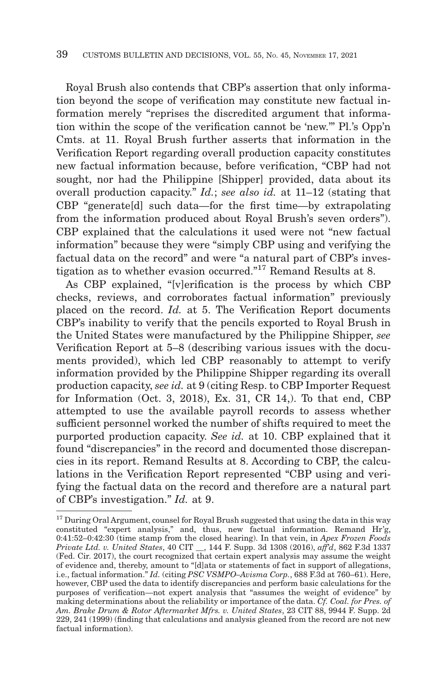Royal Brush also contends that CBP's assertion that only information beyond the scope of verification may constitute new factual information merely "reprises the discredited argument that information within the scope of the verification cannot be 'new.'" Pl.'s Opp'n Cmts. at 11. Royal Brush further asserts that information in the Verification Report regarding overall production capacity constitutes new factual information because, before verification, "CBP had not sought, nor had the Philippine [Shipper] provided, data about its overall production capacity." *Id.*; *see also id.* at 11–12 (stating that CBP "generate[d] such data—for the first time—by extrapolating from the information produced about Royal Brush's seven orders"). CBP explained that the calculations it used were not "new factual information" because they were "simply CBP using and verifying the factual data on the record" and were "a natural part of CBP's investigation as to whether evasion occurred."17 Remand Results at 8.

As CBP explained, "[v]erification is the process by which CBP checks, reviews, and corroborates factual information" previously placed on the record. *Id.* at 5. The Verification Report documents CBP's inability to verify that the pencils exported to Royal Brush in the United States were manufactured by the Philippine Shipper, *see* Verification Report at 5–8 (describing various issues with the documents provided), which led CBP reasonably to attempt to verify information provided by the Philippine Shipper regarding its overall production capacity, *see id.* at 9 (citing Resp. to CBP Importer Request for Information (Oct. 3, 2018), Ex. 31, CR 14,). To that end, CBP attempted to use the available payroll records to assess whether sufficient personnel worked the number of shifts required to meet the purported production capacity. *See id.* at 10. CBP explained that it found "discrepancies" in the record and documented those discrepancies in its report. Remand Results at 8. According to CBP, the calculations in the Verification Report represented "CBP using and verifying the factual data on the record and therefore are a natural part of CBP's investigation." *Id.* at 9.

 $^{17}$  During Oral Argument, counsel for Royal Brush suggested that using the data in this way constituted "expert analysis," and, thus, new factual information. Remand Hr'g, 0:41:52–0:42:30 (time stamp from the closed hearing). In that vein, in *Apex Frozen Foods Private Ltd. v. United States*, 40 CIT \_\_, 144 F. Supp. 3d 1308 (2016), *aff'd*, 862 F.3d 1337 (Fed. Cir. 2017), the court recognized that certain expert analysis may assume the weight of evidence and, thereby, amount to "[d]ata or statements of fact in support of allegations, i.e., factual information." *Id.* (citing *PSC VSMPO–Avisma Corp.*, 688 F.3d at 760–61). Here, however, CBP used the data to identify discrepancies and perform basic calculations for the purposes of verification—not expert analysis that "assumes the weight of evidence" by making determinations about the reliability or importance of the data. *Cf. Coal. for Pres. of Am. Brake Drum & Rotor Aftermarket Mfrs. v. United States*, 23 CIT 88, 9944 F. Supp. 2d 229, 241 (1999) (finding that calculations and analysis gleaned from the record are not new factual information).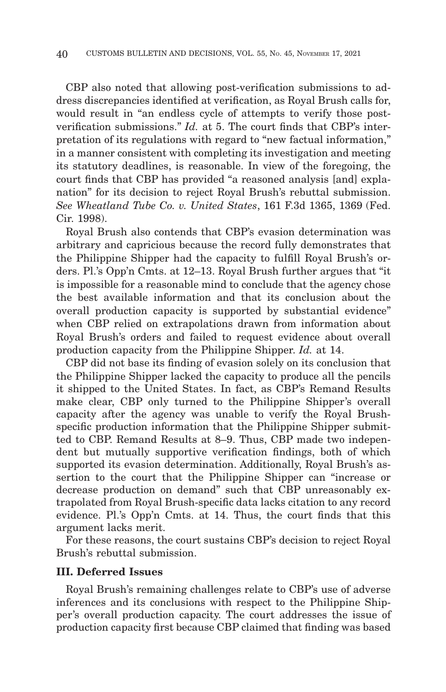CBP also noted that allowing post-verification submissions to address discrepancies identified at verification, as Royal Brush calls for, would result in "an endless cycle of attempts to verify those postverification submissions." *Id.* at 5. The court finds that CBP's interpretation of its regulations with regard to "new factual information," in a manner consistent with completing its investigation and meeting its statutory deadlines, is reasonable. In view of the foregoing, the court finds that CBP has provided "a reasoned analysis [and] explanation" for its decision to reject Royal Brush's rebuttal submission. *See Wheatland Tube Co. v. United States*, 161 F.3d 1365, 1369 (Fed. Cir. 1998).

Royal Brush also contends that CBP's evasion determination was arbitrary and capricious because the record fully demonstrates that the Philippine Shipper had the capacity to fulfill Royal Brush's orders. Pl.'s Opp'n Cmts. at 12–13. Royal Brush further argues that "it is impossible for a reasonable mind to conclude that the agency chose the best available information and that its conclusion about the overall production capacity is supported by substantial evidence" when CBP relied on extrapolations drawn from information about Royal Brush's orders and failed to request evidence about overall production capacity from the Philippine Shipper. *Id.* at 14.

CBP did not base its finding of evasion solely on its conclusion that the Philippine Shipper lacked the capacity to produce all the pencils it shipped to the United States. In fact, as CBP's Remand Results make clear, CBP only turned to the Philippine Shipper's overall capacity after the agency was unable to verify the Royal Brushspecific production information that the Philippine Shipper submitted to CBP. Remand Results at 8–9. Thus, CBP made two independent but mutually supportive verification findings, both of which supported its evasion determination. Additionally, Royal Brush's assertion to the court that the Philippine Shipper can "increase or decrease production on demand" such that CBP unreasonably extrapolated from Royal Brush-specific data lacks citation to any record evidence. Pl.'s Opp'n Cmts. at 14. Thus, the court finds that this argument lacks merit.

For these reasons, the court sustains CBP's decision to reject Royal Brush's rebuttal submission.

#### **III. Deferred Issues**

Royal Brush's remaining challenges relate to CBP's use of adverse inferences and its conclusions with respect to the Philippine Shipper's overall production capacity. The court addresses the issue of production capacity first because CBP claimed that finding was based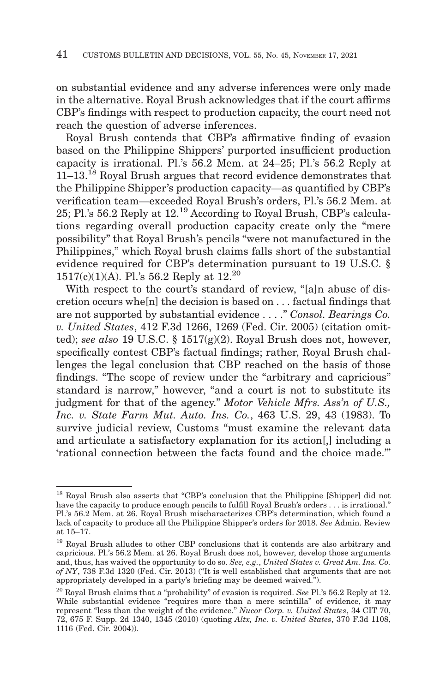on substantial evidence and any adverse inferences were only made in the alternative. Royal Brush acknowledges that if the court affirms CBP's findings with respect to production capacity, the court need not reach the question of adverse inferences.

Royal Brush contends that CBP's affirmative finding of evasion based on the Philippine Shippers' purported insufficient production capacity is irrational. Pl.'s 56.2 Mem. at 24–25; Pl.'s 56.2 Reply at 11–13.18 Royal Brush argues that record evidence demonstrates that the Philippine Shipper's production capacity—as quantified by CBP's verification team—exceeded Royal Brush's orders, Pl.'s 56.2 Mem. at 25; Pl.'s 56.2 Reply at 12.19 According to Royal Brush, CBP's calculations regarding overall production capacity create only the "mere possibility" that Royal Brush's pencils "were not manufactured in the Philippines," which Royal brush claims falls short of the substantial evidence required for CBP's determination pursuant to 19 U.S.C. § 1517(c)(1)(A). Pl.'s 56.2 Reply at 12.20

With respect to the court's standard of review, "[a]n abuse of discretion occurs whe[n] the decision is based on . . . factual findings that are not supported by substantial evidence . . . ." *Consol. Bearings Co. v. United States*, 412 F.3d 1266, 1269 (Fed. Cir. 2005) (citation omitted); *see also* 19 U.S.C. § 1517(g)(2). Royal Brush does not, however, specifically contest CBP's factual findings; rather, Royal Brush challenges the legal conclusion that CBP reached on the basis of those findings. "The scope of review under the "arbitrary and capricious" standard is narrow," however, "and a court is not to substitute its judgment for that of the agency." *Motor Vehicle Mfrs. Ass'n of U.S., Inc. v. State Farm Mut. Auto. Ins. Co.*, 463 U.S. 29, 43 (1983). To survive judicial review, Customs "must examine the relevant data and articulate a satisfactory explanation for its action[,] including a 'rational connection between the facts found and the choice made.'"

<sup>18</sup> Royal Brush also asserts that "CBP's conclusion that the Philippine [Shipper] did not have the capacity to produce enough pencils to fulfill Royal Brush's orders . . . is irrational." Pl.'s 56.2 Mem. at 26. Royal Brush mischaracterizes CBP's determination, which found a lack of capacity to produce all the Philippine Shipper's orders for 2018. *See* Admin. Review at 15–17.

<sup>19</sup> Royal Brush alludes to other CBP conclusions that it contends are also arbitrary and capricious. Pl.'s 56.2 Mem. at 26. Royal Brush does not, however, develop those arguments and, thus, has waived the opportunity to do so. *See, e.g.*, *United States v. Great Am. Ins. Co. of NY*, 738 F.3d 1320 (Fed. Cir. 2013) ("It is well established that arguments that are not appropriately developed in a party's briefing may be deemed waived.").

<sup>20</sup> Royal Brush claims that a "probability" of evasion is required. *See* Pl.'s 56.2 Reply at 12. While substantial evidence "requires more than a mere scintilla" of evidence, it may represent "less than the weight of the evidence." *Nucor Corp. v. United States*, 34 CIT 70, 72, 675 F. Supp. 2d 1340, 1345 (2010) (quoting *Altx, Inc. v. United States*, 370 F.3d 1108, 1116 (Fed. Cir. 2004)).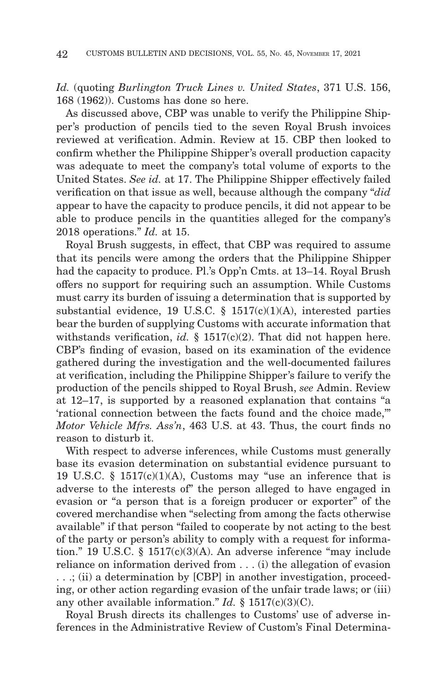*Id.* (quoting *Burlington Truck Lines v. United States*, 371 U.S. 156, 168 (1962)). Customs has done so here.

As discussed above, CBP was unable to verify the Philippine Shipper's production of pencils tied to the seven Royal Brush invoices reviewed at verification. Admin. Review at 15. CBP then looked to confirm whether the Philippine Shipper's overall production capacity was adequate to meet the company's total volume of exports to the United States. *See id.* at 17. The Philippine Shipper effectively failed verification on that issue as well, because although the company "*did* appear to have the capacity to produce pencils, it did not appear to be able to produce pencils in the quantities alleged for the company's 2018 operations." *Id.* at 15.

Royal Brush suggests, in effect, that CBP was required to assume that its pencils were among the orders that the Philippine Shipper had the capacity to produce. Pl.'s Opp'n Cmts. at 13–14. Royal Brush offers no support for requiring such an assumption. While Customs must carry its burden of issuing a determination that is supported by substantial evidence, 19 U.S.C.  $\S$  1517(c)(1)(A), interested parties bear the burden of supplying Customs with accurate information that withstands verification, *id.*  $\S$  1517(c)(2). That did not happen here. CBP's finding of evasion, based on its examination of the evidence gathered during the investigation and the well-documented failures at verification, including the Philippine Shipper's failure to verify the production of the pencils shipped to Royal Brush, *see* Admin. Review at 12–17, is supported by a reasoned explanation that contains "a 'rational connection between the facts found and the choice made,'" *Motor Vehicle Mfrs. Ass'n*, 463 U.S. at 43. Thus, the court finds no reason to disturb it.

With respect to adverse inferences, while Customs must generally base its evasion determination on substantial evidence pursuant to 19 U.S.C.  $\S$  1517(c)(1)(A), Customs may "use an inference that is adverse to the interests of" the person alleged to have engaged in evasion or "a person that is a foreign producer or exporter" of the covered merchandise when "selecting from among the facts otherwise available" if that person "failed to cooperate by not acting to the best of the party or person's ability to comply with a request for information." 19 U.S.C. § 1517(c)(3)(A). An adverse inference "may include reliance on information derived from . . . (i) the allegation of evasion . . .; (ii) a determination by [CBP] in another investigation, proceeding, or other action regarding evasion of the unfair trade laws; or (iii) any other available information." *Id.* § 1517(c)(3)(C).

Royal Brush directs its challenges to Customs' use of adverse inferences in the Administrative Review of Custom's Final Determina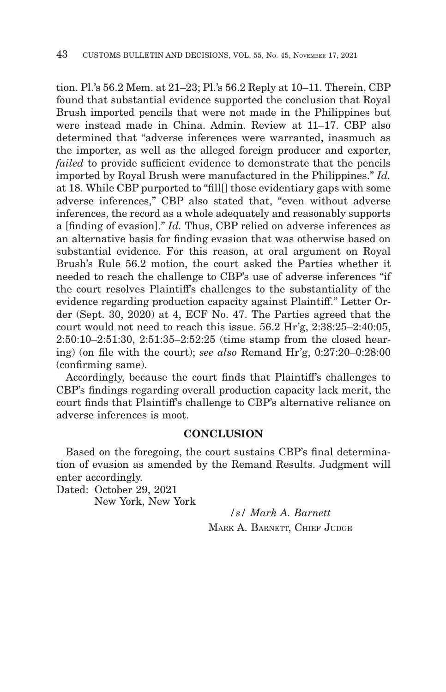tion. Pl.'s 56.2 Mem. at 21–23; Pl.'s 56.2 Reply at 10–11. Therein, CBP found that substantial evidence supported the conclusion that Royal Brush imported pencils that were not made in the Philippines but were instead made in China. Admin. Review at 11–17. CBP also determined that "adverse inferences were warranted, inasmuch as the importer, as well as the alleged foreign producer and exporter, *failed* to provide sufficient evidence to demonstrate that the pencils imported by Royal Brush were manufactured in the Philippines." *Id.* at 18. While CBP purported to "fill[] those evidentiary gaps with some adverse inferences," CBP also stated that, "even without adverse inferences, the record as a whole adequately and reasonably supports a [finding of evasion]." *Id.* Thus, CBP relied on adverse inferences as an alternative basis for finding evasion that was otherwise based on substantial evidence. For this reason, at oral argument on Royal Brush's Rule 56.2 motion, the court asked the Parties whether it needed to reach the challenge to CBP's use of adverse inferences "if the court resolves Plaintiff's challenges to the substantiality of the evidence regarding production capacity against Plaintiff." Letter Order (Sept. 30, 2020) at 4, ECF No. 47. The Parties agreed that the court would not need to reach this issue. 56.2 Hr'g, 2:38:25–2:40:05, 2:50:10–2:51:30, 2:51:35–2:52:25 (time stamp from the closed hearing) (on file with the court); *see also* Remand Hr'g, 0:27:20–0:28:00 (confirming same).

Accordingly, because the court finds that Plaintiff's challenges to CBP's findings regarding overall production capacity lack merit, the court finds that Plaintiff's challenge to CBP's alternative reliance on adverse inferences is moot.

#### **CONCLUSION**

Based on the foregoing, the court sustains CBP's final determination of evasion as amended by the Remand Results. Judgment will enter accordingly.

Dated: October 29, 2021 New York, New York

*/s/ Mark A. Barnett* MARK A. BARNETT, CHIEF JUDGE